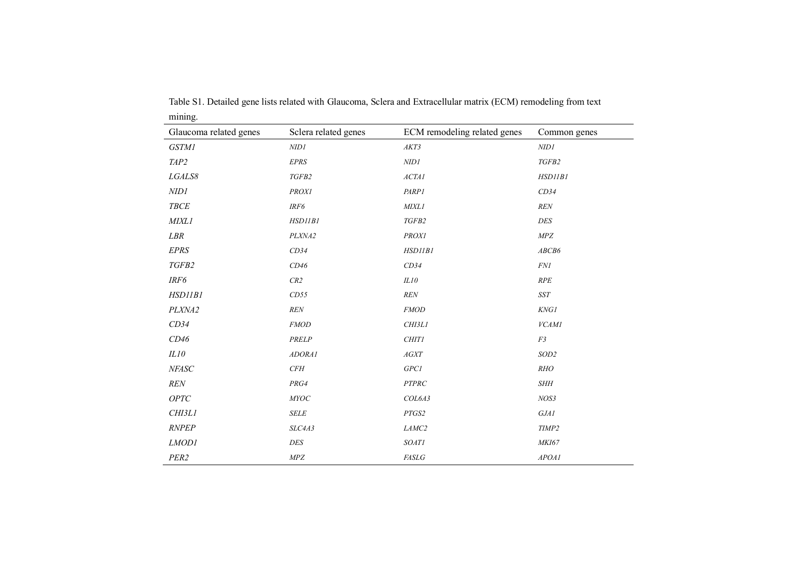| Glaucoma related genes | Sclera related genes | ECM remodeling related genes       | Common genes     |
|------------------------|----------------------|------------------------------------|------------------|
| <b>GSTM1</b>           | $N\!IDI$             | AKT3                               | NIDI             |
| TAP2                   | <b>EPRS</b>          | NID1                               | TGFB2            |
| LGALS8                 | TGFB2                | ACTAI                              | HSD11B1          |
| NIDI                   | <b>PROX1</b>         | PARP1                              | CD34             |
| <b>TBCE</b>            | IRF6                 | <b>MIXL1</b>                       | REN              |
| <b>MIXL1</b>           | HSD11B1              | TGFB2                              | DES              |
| LBR                    | PLXNA2               | <b>PROXI</b>                       | MPZ              |
| EPRS                   | CD34                 | HSDIIBI                            | ABCB6            |
| TGFB2                  | CD46                 | CD34                               | FNI              |
| IRF6                   | CR2                  | ILI0                               | RPE              |
| HSD11B1                | CD55                 | REN                                | <b>SST</b>       |
| PLXNA2                 | $\ensuremath{REN}$   | <b>FMOD</b>                        | KNG1             |
| CD34                   | $\mathcal{FMOD}$     | CHI3L1                             | VCAMI            |
| CD46                   | PRELP                | <b>CHIT1</b>                       | F3               |
| $\it IL10$             | ADORA1               | AGXT                               | SOD <sub>2</sub> |
| NFASC                  | CFH                  | $GPC1$                             | RHO              |
| <b>REN</b>             | PRG4                 | $\cal{PT} \cal{P} \cal{R} \cal{C}$ | <b>SHH</b>       |
| ${\it OPTC}$           | MYOC                 | COL6A3                             | NOS3             |
| CHI3L1                 | <b>SELE</b>          | PTGS2                              | GJA1             |
| <b>RNPEP</b>           | SLC4A3               | LAMC2                              | TIMP2            |
| LMOD1                  | DES                  | <b>SOAT1</b>                       | MKI67            |
| PER2                   | ${\it MPZ}$          | FASLG                              | APOAI            |

Table S1. Detailed gene lists related with Glaucoma, Sclera and Extracellular matrix (ECM) remodeling from text mining.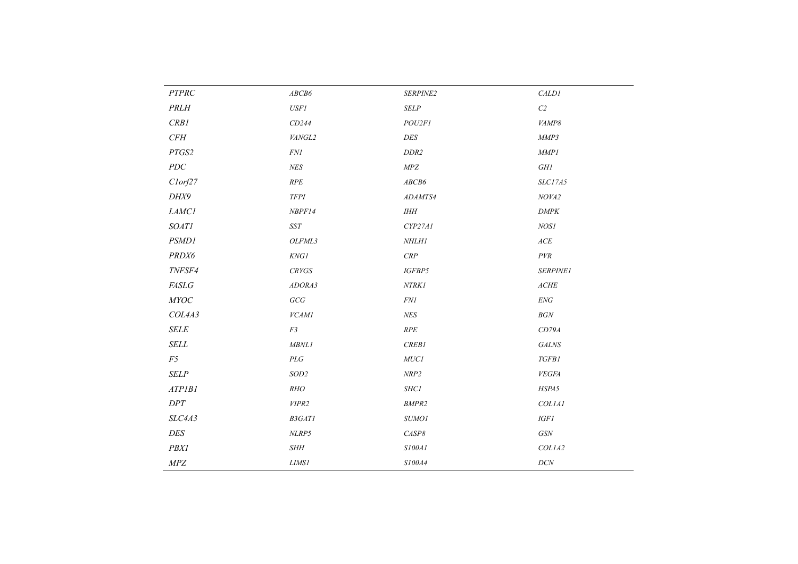| $\cal{PT} \cal{P} \cal{R} \cal{C}$ | ${\it ABCB6}$             | SERPINE2                      | CALDI                                               |
|------------------------------------|---------------------------|-------------------------------|-----------------------------------------------------|
| PRLH                               | $\it{USF1}$               | SELP                          | $\mathbb{C}2$                                       |
| CRB1                               | CD244                     | POU2FI                        | VAMP8                                               |
| CFH                                | VANGL2                    | DES                           | MMP3                                                |
| PTGS2                              | $\it FN1$                 | DDR2                          | MMPI                                                |
| ${\cal PDC}$                       | ${\it NES}$               | ${\it MPZ}$                   | $GHI\,$                                             |
| Clorf27                            | $\cal{RPE}$               | ABCB6                         | SLC17A5                                             |
| DHX9                               | $TFPI$                    | ADAMTS4                       | NOVA2                                               |
| $\it LAMCI$                        | NBPF14                    | $I\!H\!H$                     | $\ensuremath{\textit{DMPK}}$                        |
| <b>SOAT1</b>                       | $\it{SST}$                | CYP27AI                       | NOS1                                                |
| <b>PSMD1</b>                       | OLFML3                    | NHLHI                         | $\ensuremath{\mathnormal{ACE}}$                     |
| PRDX6                              | $\it KNGI$                | $\cal{CRP}$                   | $\cal{P}VR$                                         |
| TNFSF4                             | ${\it CRYGS}$             | IGFBP5                        | SERPINE1                                            |
| FASLG                              | ADORA3                    | $\emph{NTRK1}$                | $\mathit{ACHE}$                                     |
| MYOC                               | $GCG$                     | $\mathit{FNl}$                | $\ensuremath{\textit{ENG}}$                         |
| COL4A3                             | VCAMI                     | ${\it NES}$                   | $BGN$                                               |
| SELE                               | F3                        | $\cal{RPE}$                   | CD79A                                               |
| $\it SELL$                         | MBNL1                     | CREB1                         | $\it{GALNS}$                                        |
| F5                                 | $\cal{P} \cal{L} \cal{G}$ | ${\it MUCI}$                  | TGFB1                                               |
| <b>SELP</b>                        | $\operatorname{SOD2}$     | $\ensuremath{\mathit{NRP2}}$  | ${\it VEGFA}$                                       |
| ATPIBI                             | RHO                       | SHC1                          | HSPA5                                               |
| $D\!PT$                            | VIPR2                     | $\emph{BMPR2}$                | COL1A1                                              |
| SLC4A3                             | <b>B3GAT1</b>             | SUMO1                         | $IGF1$                                              |
| DES                                | $NLRP5$                   | $\ensuremath{\mathit{C}ASP8}$ | $G\ensuremath{\mathcal{S}}\ensuremath{\mathcal{N}}$ |
| $\mathit{PBX1}$                    | $SHH$                     | $\it S100Al$                  | COLIA2                                              |
| ${\it MPZ}$                        | $LIMSI$                   | $\it S100A4$                  | $DCN$                                               |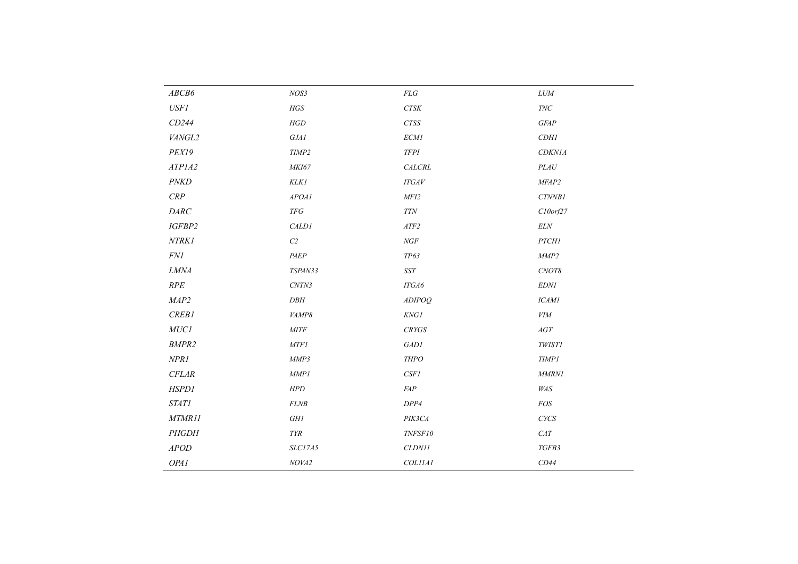| ABCB6        | NOS3                                | $\mathcal{F}\mathcal{L}\mathcal{G}$ | $LUM$          |
|--------------|-------------------------------------|-------------------------------------|----------------|
| <b>USF1</b>  | HGS                                 | ${\it CTSK}$                        | $\mathit{TNC}$ |
| CD244        | $H\hspace{-0.9pt}G\hspace{-0.9pt}D$ | $CTSS$                              | <b>GFAP</b>    |
| VANGL2       | GJAI                                | <b>ECM1</b>                         | CDH1           |
| PEX19        | TIMP2                               | $T\!F\!P\!I$                        | <b>CDKN1A</b>  |
| ATP1A2       | MKI67                               | CALCRL                              | $\it{PLAU}$    |
| <b>PNKD</b>  | KLK1                                | <b>ITGAV</b>                        | MFAP2          |
| $\cal{CRP}$  | APOAI                               | MFI2                                | CTNNB1         |
| DARC         | $T\!F\!G$                           | $T\!T\!N$                           | $C10$ orf $27$ |
| IGFBP2       | CALD1                               | ${\it ATF2}$                        | $\it{ELN}$     |
| NTRK1        | ${\cal C}2$                         | NGF                                 | <b>PTCH1</b>   |
| FNI          | PAEP                                | TP63                                | MMP2           |
| ${\it LMMA}$ | TSPAN33                             | $\emph{SST}$                        | CNOT8          |
| RPE          | CNTN3                               | ITGA6                               | <b>EDN1</b>    |
| MAP2         | DBH                                 | ADIPOQ                              | <b>ICAM1</b>   |
| CREB1        | VAMP8                               | KNG1                                | <b>VIM</b>     |
| ${\it MUCI}$ | MITF                                | CRYGS                               | AGT            |
| <b>BMPR2</b> | <b>MTF1</b>                         | GAD1                                | <b>TWIST1</b>  |
| NPRI         | MMP3                                | <b>THPO</b>                         | <b>TIMP1</b>   |
| CFLAR        | MMPI                                | CSF1                                | <b>MMRN1</b>   |
| <b>HSPD1</b> | HPD                                 | $F\!AP$                             | WAS            |
| <b>STAT1</b> | FLNB                                | DPP4                                | $FOS$          |
| MTMR11       | $G\!H\!I$                           | PIK3CA                              | <b>CYCS</b>    |
| PHGDH        | $\mathcal{T}\mathcal{Y}\mathcal{R}$ | TNFSF10                             | $CAT$          |
| <b>APOD</b>  | SLC17A5                             | CLDN11                              | TGFB3          |
| OPA1         | NOVA2                               | COLIIAI                             | CD44           |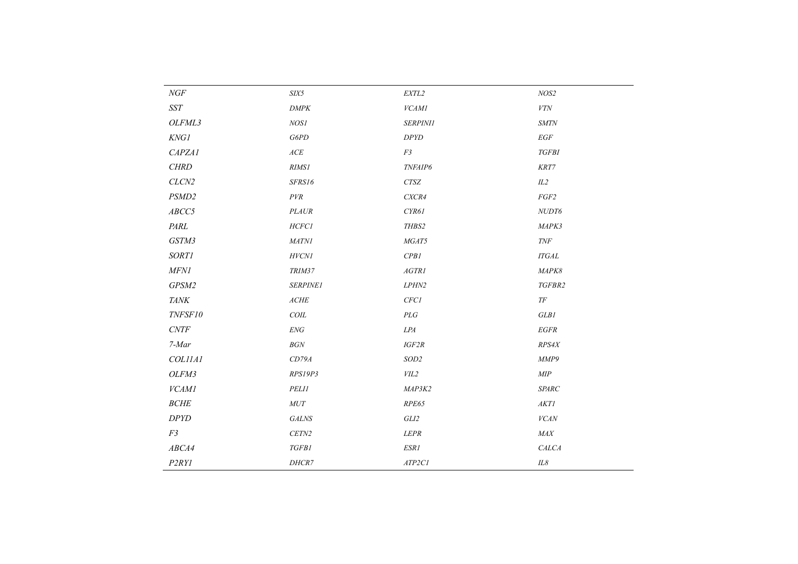| $\mathit{NGF}$               | $\boldsymbol{SIX5}$      | EXTL2                     | NOS2                         |
|------------------------------|--------------------------|---------------------------|------------------------------|
| $\emph{SST}$                 | $\ensuremath{DMPK}$      | VCAMI                     | ${\it VTN}$                  |
| OLFML3                       | NOS1                     | <b>SERPINI1</b>           | $\boldsymbol{\mathit{SMTN}}$ |
| <b>KNG1</b>                  | G6PD                     | $D\!P Y\!D$               | $\mathbb{E} G\mathbb{F}$     |
| CAPZA1                       | $\mathcal{ACE}$          | F3                        | <b>TGFBI</b>                 |
| CHRD                         | <b>RIMS1</b>             | TNFAIP6                   | KRT7                         |
| CLCN <sub>2</sub>            | SFRS16                   | <b>CTSZ</b>               | IL2                          |
| PSMD2                        | PVR                      | CXCR4                     | FGF2                         |
| ABCC5                        | <b>PLAUR</b>             | CYR61                     | NUDT6                        |
| PARL                         | <b>HCFC1</b>             | THBS2                     | MAPK3                        |
| GSTM3                        | <b>MATN1</b>             | MGAT5                     | <b>TNF</b>                   |
| <b>SORT1</b>                 | $HVCNI$                  | CPB1                      | <b>ITGAL</b>                 |
| $M\!FN\!I$                   | TRIM37                   | AGTR1                     | MAPK8                        |
| GPSM2                        | SERPINE1                 | LPHN2                     | TGFBR2                       |
| <b>TANK</b>                  | $\mathit{ACHE}$          | $CFCI$                    | $T\!F$                       |
| TNFSF10                      | $C O I L$                | $\cal{P} \cal{L} \cal{G}$ | GLB1                         |
| $\ensuremath{\textit{CNTF}}$ | $\ensuremath{{\it ENG}}$ | ${\it LPA}$               | $EGFR$                       |
| $7-Mar$                      | $\mathcal{B}GN$          | IGF2R                     | RPS4X                        |
| COLIIAI                      | CD79A                    | $SOD2$                    | MMP9                         |
| OLFM3                        | RPS19P3                  | VIL2                      | $\ensuremath{\mathit{MIP}}$  |
| <b>VCAM1</b>                 | <b>PELI1</b>             | MAP3K2                    | SPARC                        |
| $BCHE$                       | $MUT$                    | RPE65                     | $AKTI$                       |
| DPYD                         | <b>GALNS</b>             | GLI2                      | <b>VCAN</b>                  |
| F <sub>3</sub>               | CETN2                    | <b>LEPR</b>               | MAX                          |
| ABCA4                        | <b>TGFB1</b>             | ESR1                      | CALCA                        |
| P2RYI                        | DHCR7                    | ATP2CI                    | $I\!L8$                      |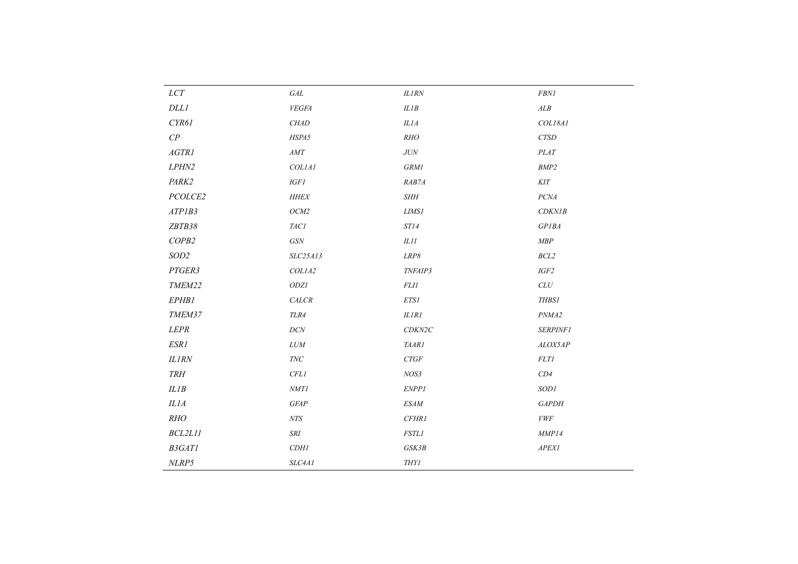| ${\it LCT}$                 | $\it{GAL}$     | $ILIRN$               | $\it FBN1$         |
|-----------------------------|----------------|-----------------------|--------------------|
| $DLLI$                      | ${\it VEGFA}$  | $ILIB$                | $\boldsymbol{ALB}$ |
| CYR61                       | CHAD           | ILIA                  | COL18A1            |
| $C\hspace{-0.1cm}P$         | HSPA5          | RHO                   | ${\it CTSD}$       |
| AGTRI                       | $AMT$          | $J\!U\!N$             | PLAT               |
| ${\it LPHN2}$               | $COLIAI$       | <b>GRM1</b>           | $BMP2$             |
| PARK2                       | $IGF1$         | RAB7A                 | KIT                |
| PCOLCE2                     | $H\!H\!E\!X$   | $\it SHH$             | $PC\!M$            |
| ATPIB3                      | $OCM2$         | LIMSI                 | CDKNIB             |
| ZBTB38                      | $T\!ACI$       | ST14                  | $GPIBA$            |
| COPB2                       | GSN            | $\it ILII$            | $\emph{MBP}$       |
| SOD2                        | SLC25A13       | $LRP8$                | $BCL2$             |
| PTGER3                      | COLIA2         | TNFAIP3               | $IGF2$             |
| TMEM22                      | $ODZI$         | <b>FLI1</b>           | $CLU$              |
| EPHB1                       | CALCR          | ETS1                  | <b>THBS1</b>       |
| TMEM37                      | $TLR4$         | $ILIRI$               | $\it PNMA2$        |
| <b>LEPR</b>                 | $DCN$          | CDKN2C                | <b>SERPINF1</b>    |
| ESRI                        | $LUM$          | TAAR1                 | ALOX5AP            |
| ILIRN                       | $\mathit{TNC}$ | CTGF                  | FLTI               |
| $\ensuremath{\mathit{TRH}}$ | $\it CFL$      | $NOS3$                | $CD4\,$            |
| ILIB                        | $\it NMTI$     | ENPP1                 | SODI               |
| ILIA                        | <b>GFAP</b>    | $ESAM$                | <b>GAPDH</b>       |
| RHO                         | ${\it NTS}$    | CFHRI                 | <b>VWF</b>         |
| BCL2L11                     | $\cal SRI$     | <b>FSTL1</b>          | MMP14              |
| B3GATI                      | CDH1           | GSK3B                 | ${\it APEXI}$      |
| NLRP5                       | $SLC4AI$       | $THY\hspace{-0.1cm}I$ |                    |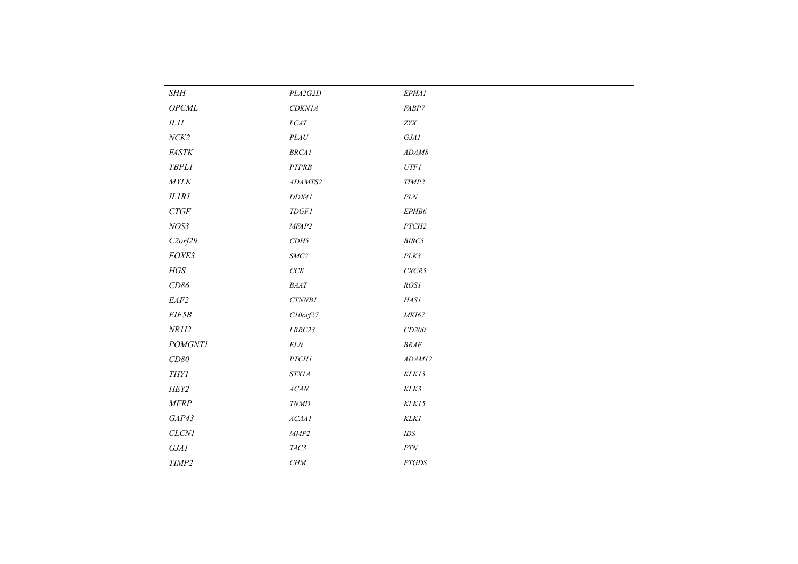| <b>SHH</b>            | PLA2G2D             | EPHAI                                 |
|-----------------------|---------------------|---------------------------------------|
| $\it{OPCML}$          | $CDKNIA$            | FABP7                                 |
| $\it{llll}$           | $LCAT$              | ${\it ZYX}$                           |
| $NCK2$                | $\it{PLAU}$         | $GJ\!\! A1$                           |
| $\it FASTK$           | $BRCAI$             | $ADAM8$                               |
| <b>TBPL1</b>          | ${\small\it PTPRB}$ | ${\it UTFI}$                          |
| $\mathit{MYLK}$       | ADAMTS2             | TIMP2                                 |
| $ILIRI$               | DDX41               | $\mathcal{P} \mathcal{L} \mathcal{N}$ |
| $CTGF$                | $T\!D$ GF1          | EPHB6                                 |
| NOS3                  | MFAP2               | $PTCH2$                               |
| C2orf29               | CDH5                | BIRC5                                 |
| FOXE3                 | $SMC2$              | PLK3                                  |
| $HGS\;$               | $C\mathbb{C} K$     | $C\!X\!C\!R\!5$                       |
| $C\!D86$              | $\it{BAAT}$         | $ROS\!I$                              |
| $\it EAF2$            | $CT\!N\!N\!B1$      | HASI                                  |
| EIF5B                 | $C10$ orf $27$      | MKI67                                 |
| NRII2                 | $\emph{LRRC23}$     | CD200                                 |
| <b>POMGNT1</b>        | $\it ELN$           | $\ensuremath{\mathit{BRAF}}$          |
| $C\!D80$              | PTCHI               | ADAM12                                |
| $THY\hspace{-0.1cm}I$ | $STXIA$             | KLK13                                 |
| HEY2                  | $ACAN$              | $K\!L\!K\!3$                          |
| $M\!F\!RP$            | <b>TNMD</b>         | KLK15                                 |
| GAP43                 | $\it ACAAI$         | KLKI                                  |
| $CLCNI$               | $\emph{MMP2}$       | $\mathit{IDS}$                        |
| $GJAI$                | TAC3                | $\cal{PTN}$                           |
| TIMP2                 | CHM                 | $PTGDS$                               |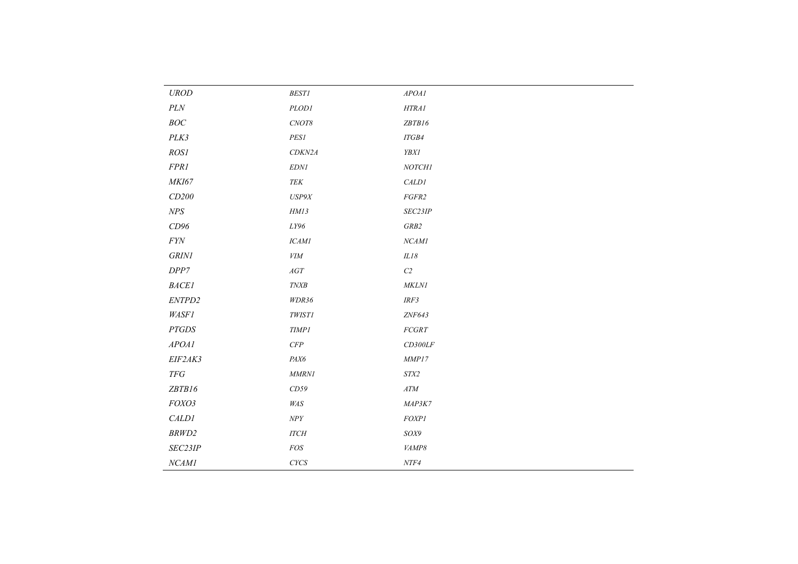| $U\!ROD$                              | $\it BEST1$   | APOAI                                                                     |
|---------------------------------------|---------------|---------------------------------------------------------------------------|
| $\mathcal{P} \mathcal{L} \mathcal{N}$ | PLOD1         | HTRAI                                                                     |
| $BOC$                                 | $CNOT8$       | ZBTB16                                                                    |
| PLK3                                  | PES1          | ITGB4                                                                     |
| ROS1                                  | CDKN2A        | <b>YBX1</b>                                                               |
| FPR1                                  | <b>EDN1</b>   | NOTCHI                                                                    |
| MKI67                                 | TEK           | CALD1                                                                     |
| CD200                                 | USP9X         | FGFR2                                                                     |
| $N\!P\!S$                             | HM13          | SEC23IP                                                                   |
| CD96                                  | $LY96\,$      | GRB2                                                                      |
| $\it{FYN}$                            | <b>ICAM1</b>  | NCAMI                                                                     |
| $\emph{GRINI}$                        | <b>VIM</b>    | $ILI8$                                                                    |
| DPP7                                  | $AGT$         | ${\cal C}2$                                                               |
| BACEI                                 | <b>TNXB</b>   | <b>MKLN1</b>                                                              |
| ENTPD2                                | WDR36         | IRF3                                                                      |
| <b>WASF1</b>                          | <b>TWIST1</b> | ZNF643                                                                    |
| <b>PTGDS</b>                          | <b>TIMP1</b>  | $FCGRT$                                                                   |
| APOAI                                 | $C\!F\!P$     | $CD300LF$                                                                 |
| EIF2AK3                               | PAX6          | MMP17                                                                     |
| $T\!F G$                              | MMRNI         | $ST\!X\!2$                                                                |
| ZBTB16                                | CD59          | $AT\!M$                                                                   |
| FOXO3                                 | $\it W\!A S$  | MAP3K7                                                                    |
| <b>CALD1</b>                          | $N\!P Y$      | FOXP1                                                                     |
| BRWD2                                 | <b>ITCH</b>   | $\ensuremath{\textit{SO}} \ensuremath{\textit{X}}\ensuremath{\textit{9}}$ |
| SEC23IP                               | FOS           | VAMP8                                                                     |
| NCAM1                                 | $C YCS$       | $NTF4$                                                                    |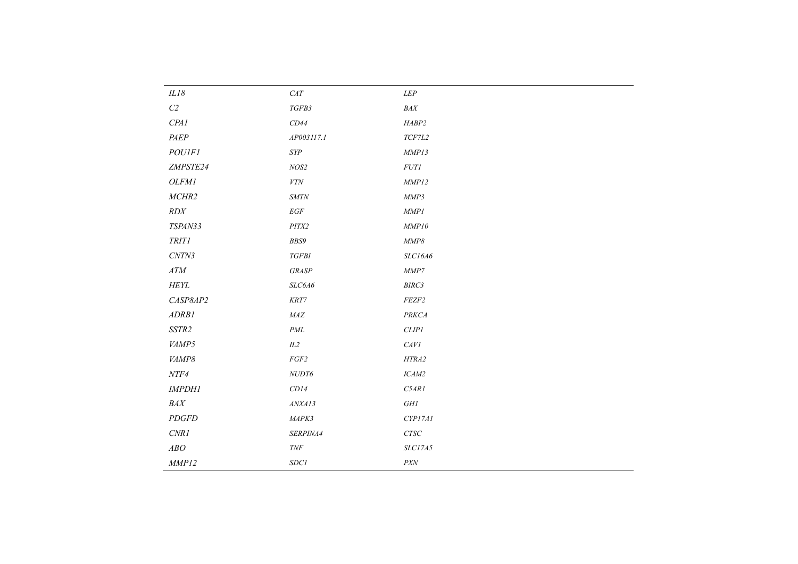| $CAT$                        | $LEP$                         |
|------------------------------|-------------------------------|
| TGFB3                        | $\it{BAX}$                    |
| CD44                         | HABP2                         |
| AP003117.1                   | TCF7L2                        |
| ${\it SYP}$                  | MMP13                         |
| NOS2                         | <b>FUT1</b>                   |
| ${\it VTN}$                  | MMP12                         |
| $\boldsymbol{\mathit{SMTN}}$ | MMP3                          |
| $\mathbb{E} G\mathbb{F}$     | MMPI                          |
| PITX2                        | MMP10                         |
| BBS9                         | $\emph{MMP8}$                 |
| $TGFBI$                      | SLC16A6                       |
| <b>GRASP</b>                 | $\emph{MMP7}$                 |
| SLC6A6                       | BIRC3                         |
| $\it KRT7$                   | FEZF2                         |
| $\it{MAZ}$                   | PRKCA                         |
| $\it{PML}$                   | CLIP1                         |
| IL2                          | CAVI                          |
| FGF2                         | HTRA2                         |
| ${\it NUDT6}$                | ICAM2                         |
| CD14                         | C5ARI                         |
| ANXAI3                       | $GHI$                         |
| MAPK3                        | CYP17A1                       |
| SERPINA4                     | $\ensuremath{\mathit{CTSC}}$  |
| $\ensuremath{\mathit{TNF}}$  | SLC17A5                       |
| $SDC1$                       | $\ensuremath{\textit{PX}\!N}$ |
|                              |                               |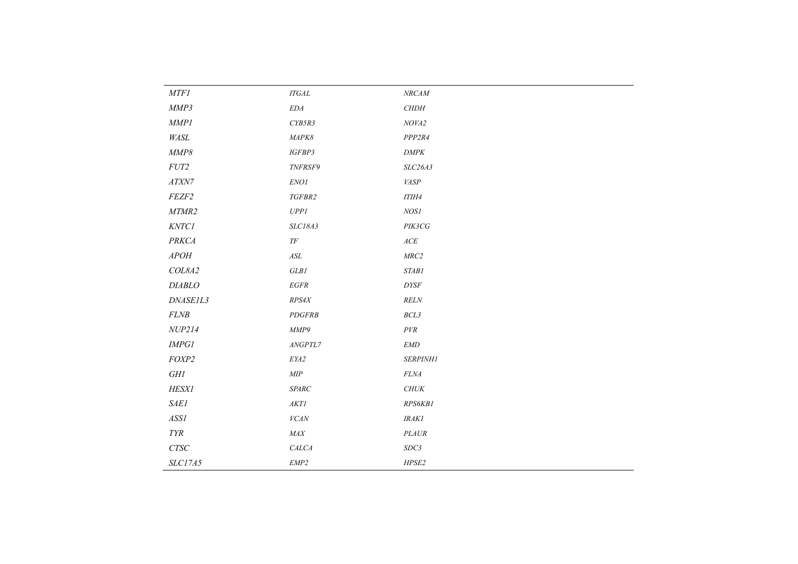| MTFI                                  | $ITGAL$                             | $\mathit{NRCAM}$             |
|---------------------------------------|-------------------------------------|------------------------------|
| MMP3                                  | $\emph{EDA}$                        | $\emph{CHDH}$                |
| MMPI                                  | CYB5R3                              | NOVA2                        |
| WASL                                  | MAPK8                               | PPP2R4                       |
| MMP8                                  | IGFBP3                              | $\ensuremath{\textit{DMPK}}$ |
| ${\it FUT2}$                          | TNFRSF9                             | SLC26A3                      |
| $AT{\hspace{-0.07cm}\bar}\,\!X\!N\!7$ | $ENO\,I$                            | <b>VASP</b>                  |
| FEZF2                                 | $TGFBR2$                            | <b>ITIH4</b>                 |
| MTMR2                                 | $U\!P\!P\!I$                        | $NOSI$                       |
| KNTCI                                 | SLC18A3                             | PIK3CG                       |
| <b>PRKCA</b>                          | $T\!F$                              | ACE                          |
| ${\cal A}POH$                         | $\mathcal{A}\mathcal{S}\mathcal{L}$ | MRC2                         |
| COL8A2                                | $GLB\mathcal{I}$                    | <b>STAB1</b>                 |
| DIABLO                                | $EGFR$                              | <b>DYSF</b>                  |
| DNASE1L3                              | RPS4X                               | RELN                         |
| $FLNB$                                | PDGFRB                              | BCL3                         |
| NUP214                                | MMP9                                | $\it PVR$                    |
| $\emph{IMPGl}$                        | $\emph{ANGPTL7}$                    | <b>EMD</b>                   |
| FOXP2                                 | $E\mathit{YA2}$                     | SERPINH1                     |
| $G\!H\!I$                             | $\ensuremath{\mathit{MIP}}$         | $FLNA$                       |
| <b>HESX1</b>                          | $\emph{SPARC}$                      | $\mathit{CHUK}$              |
| <b>SAE1</b>                           | $AKTI$                              | RPS6KB1                      |
| ASSI                                  | ${\it VCAN}$                        | <b>IRAK1</b>                 |
| ${\cal T}{\cal Y}{\cal R}$            | $\it{MAX}$                          | $\it{PLAUR}$                 |
| $\ensuremath{\mathit{CTSC}}$          | <b>CALCA</b>                        | SDC3                         |
| <b>SLC17A5</b>                        | $EMP2$                              | HPSE2                        |
|                                       |                                     |                              |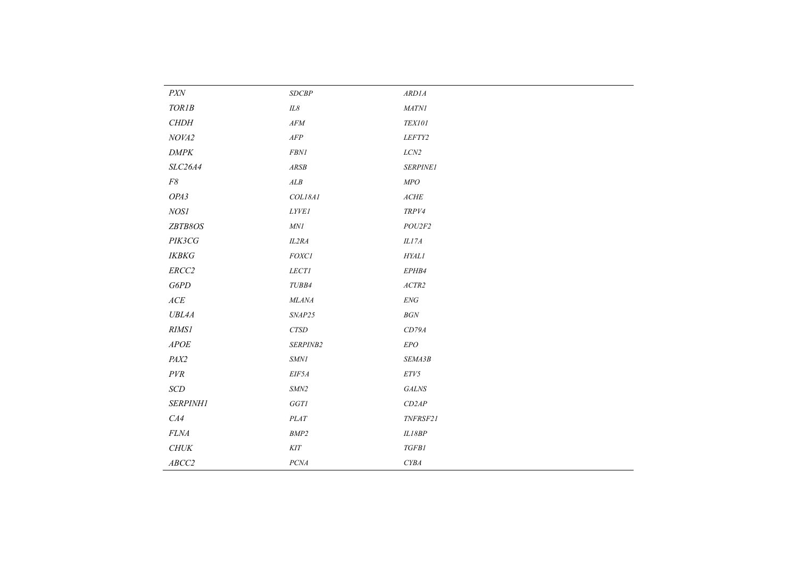| $\ensuremath{\textit{PX}\!N}$   | $\ensuremath{\mathit{SDCBP}}$ | $\mathit{ARD1A}$                  |
|---------------------------------|-------------------------------|-----------------------------------|
| $TORIB$                         | $I\!L\mathcal{8}$             | MATNI                             |
| $\emph{CHDH}$                   | $AFM$                         | $T\!E\!XI01$                      |
| NOVA2                           | ${\it AFP}$                   | LEFTY2                            |
| DMPK                            | ${\it FBN1}$                  | $LCN2$                            |
| SLC26A4                         | $\mathit{ARSB}$               | <b>SERPINE1</b>                   |
| $F\mathcal{8}$                  | $\boldsymbol{ALB}$            | ${\it MPO}$                       |
| OPA3                            | COL18A1                       | $\mathit{ACHE}$                   |
| NOS1                            | $LYV\!E1$                     | TRPV4                             |
| ZBTB8OS                         | $M\!N\!I$                     | POU2F2                            |
| PIK3CG                          | IL2RA                         | $ILI7A$                           |
| $\ensuremath{\textit{IKBKG}}$   | $FOXCI$                       | <b>HYAL1</b>                      |
| $ERCC2$                         | LECTI                         | EPHB4                             |
| $G6PD$                          | TUBB4                         | $\ensuremath{\mathnormal{ACTR2}}$ |
| $\ensuremath{\mathnormal{ACE}}$ | MLANA                         | $\ensuremath{\textit{ENG}}$       |
| <b>UBL4A</b>                    | SNAP25                        | $BGN$                             |
| RIMSI                           | ${\cal C} TSD$                | CD79A                             |
| APOE                            | SERPINB2                      | $EPO$                             |
| PAX2                            | $\ensuremath{\textit{SMN1}}$  | SEMA3B                            |
| $\cal{P}VR$                     | EIF5A                         | $ETV5$                            |
| $\ensuremath{\mathit{SCD}}$     | $\ensuremath{\textit{SMN2}}$  | <b>GALNS</b>                      |
| <b>SERPINH1</b>                 | $GGT\!I$                      | CD2AP                             |
| CA4                             | $PLAT$                        | TNFRSF21                          |
| $FLNA$                          | $\ensuremath{\mathit{BMP2}}$  | ILI8BP                            |
| CHUK                            | $K\!I\!T$                     | <b>TGFB1</b>                      |
| ABCC2                           | $PC\!M$                       | ${\it CYBA}$                      |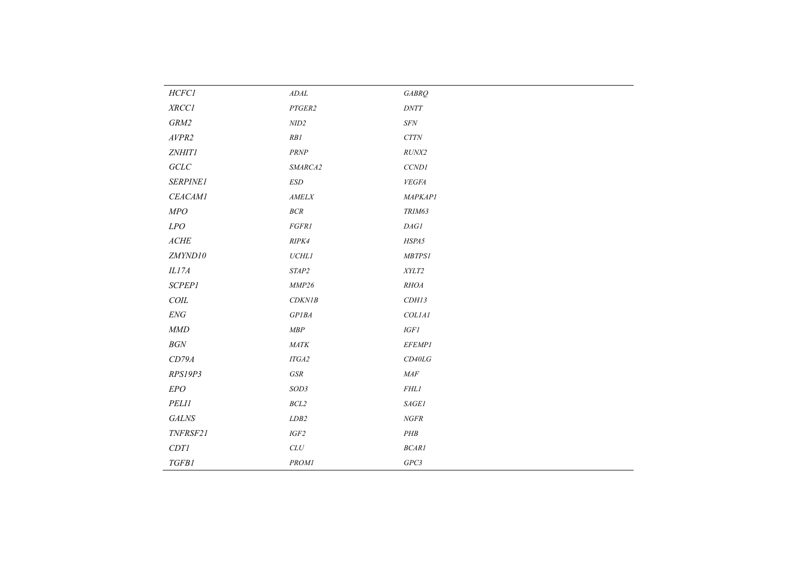| HCFC1                       | ADAL                         | <b>GABRQ</b>               |
|-----------------------------|------------------------------|----------------------------|
| XRCCI                       | PTGER2                       | $\ensuremath{DNTT}\xspace$ |
| $GRM2$                      | $N\!I\!D2$                   | $S\!FN$                    |
| AVPR2                       | RB1                          | $CTTN$                     |
| <b>ZNHIT1</b>               | $\ensuremath{\mathit{PRNP}}$ | $RUNX2$                    |
| $GCLC$                      | SMARCA2                      | CCND1                      |
| <b>SERPINE1</b>             | $\ensuremath{\textit{ESD}}$  | <b>VEGFA</b>               |
| <b>CEACAM1</b>              | $\mathit{AMELX}$             | <b>MAPKAP1</b>             |
| ${\it MPO}$                 | $BCR$                        | TRIM63                     |
| $LPO$                       | FGFR1                        | $\mathit{DAGI}$            |
| $\mathit{ACHE}$             | RIPK4                        | HSPA5                      |
| ZMYND10                     | $\it UCHLI$                  | $MBTPS1$                   |
| ILI7A                       | STAP2                        | $\it XYLT2$                |
| <b>SCPEP1</b>               | MMP26                        | RHOA                       |
| $C O I L$                   | CDKNIB                       | CDH13                      |
| $\ensuremath{\textit{ENG}}$ | GPIBA                        | COL1A1                     |
| $\mathit{MMD}$              | $\emph{MBP}$                 | $IGF\mathcal{I}$           |
| $BGN$                       | $\it{MATK}$                  | <b>EFEMP1</b>              |
| CD79A                       | $ITGA2$                      | CD40LG                     |
| RPS19P3                     | $GSR$                        | $\it{MAF}$                 |
| EPO                         | $SOD3$                       | <b>FHL1</b>                |
| PELII                       | $BCL2$                       | $\operatorname{SAGEI}$     |
| $\it{GALNS}$                | LDB2                         | $NGFR$                     |
| TNFRSF21                    | $IGF2$                       | $\cal PHB$                 |
| CDTI                        | $CLU$                        | BCARI                      |
| <b>TGFB1</b>                | <b>PROM1</b>                 | GPC3                       |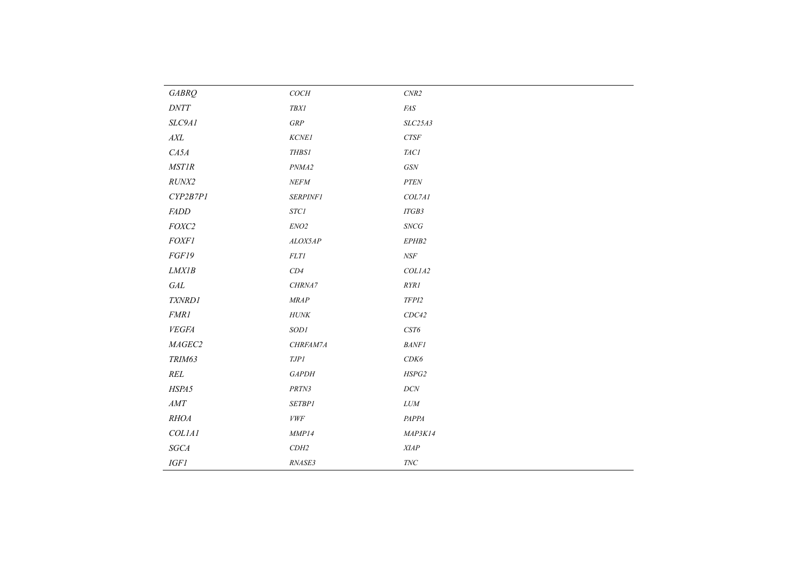| <b>GABRQ</b>  | COCH                         | $\ensuremath{\textit{CNR2}}$ |
|---------------|------------------------------|------------------------------|
| $D\!NT\!T$    | $T\!B\!XI$                   | $\it{F\!A}S$                 |
| SLC9A1        | GRP                          | SLC25A3                      |
| $A\!X\!L$     | KCNE1                        | ${\it CTSF}$                 |
| CASA          | $\emph{THBS1}$               | $TACI$                       |
| <b>MSTIR</b>  | PNMA2                        | $G\!S\!N$                    |
| RUNX2         | $NEFM$                       | ${\cal P}T{\cal E}N$         |
| CYP2B7PI      | <b>SERPINF1</b>              | COL7AI                       |
| <b>FADD</b>   | <b>STC1</b>                  | ITGB3                        |
| $FOXC2$       | $ENO2$                       | $\mathcal{S}\!N\!C\!G$       |
| <b>FOXF1</b>  | ALOX5AP                      | EPHB2                        |
| FGF19         | $FLTI$                       | $N\!S\!F$                    |
| LMXIB         | CD4                          | COL1A2                       |
| $\it{GAL}$    | CHRNA7                       | RYRI                         |
| TXNRD1        | $\emph{MRAP}$                | $TFPI2$                      |
| <b>FMR1</b>   | $H\!U\!N\!K$                 | CDC42                        |
| ${\it VEGFA}$ | SODI                         | $\ensuremath{\mathit{CST6}}$ |
| MAGEC2        | CHRFAM7A                     | BANFI                        |
| TRIM63        | $\ensuremath{\mathit{TDPI}}$ | $CDK6$                       |
| $\it REL$     | <b>GAPDH</b>                 | HSPG2                        |
| HSPA5         | PRTN3                        | $DCN$                        |
| $AMT$         | <b>SETBP1</b>                | $LUM$                        |
| RHOA          | ${\it VWF}$                  | PAPPA                        |
| COLIAI        | $\emph{MMP14}$               | MAP3K14                      |
| $SGCA$        | $CDH2$                       | XIAP                         |
| $IGF1$        | RNASE3                       | $\mathit{TNC}$               |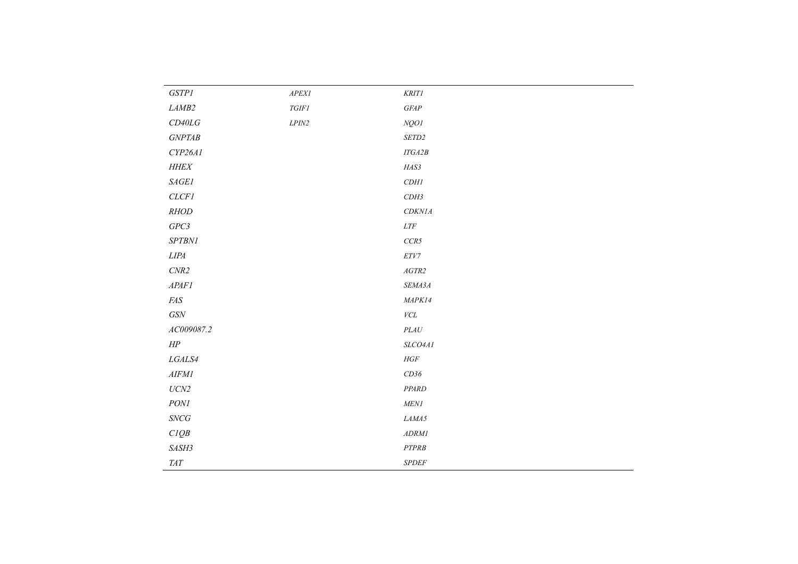| <i>GSTP1</i>                 | ${\it APEXI}$ | KRITI                      |
|------------------------------|---------------|----------------------------|
| LAMB2                        | $T G I F I$   | $G\mathbb{F}\!\mathbb{A}P$ |
| $CD40LG$                     | ${\it LPIN2}$ | NQO1                       |
| $GNPT\!AB$                   |               | $\it SETD2$                |
| CYP26AI                      |               | $ITGA2B$                   |
| $H\!H\!E\!X$                 |               | $\it HAS3$                 |
| $\emph{SAGE1}$               |               | $CDH{\cal I}$              |
| CLCFI                        |               | $CDH3$                     |
| RHOD                         |               | CDKN1A                     |
| $GPC3$                       |               | ${\it LTF}$                |
| $SPTBNI$                     |               | $CCR5$                     |
| ${\it LIPA}$                 |               | ${\cal E} T V7$            |
| $\ensuremath{\textit{CNR2}}$ |               | $AGTR2$                    |
| APAFI                        |               | SEMA3A                     |
| $\it{F\!A}S$                 |               | MAPK14                     |
| $G\!S\!N$                    |               | ${\it VCL}$                |
| AC009087.2                   |               | $\it{PLAU}$                |
| $H\!P$                       |               | SLCO4AI                    |
| ${\it LGALS4}$               |               | $HGF$                      |
| AIFMI                        |               | CD36                       |
| $UCN2$                       |               | PPARD                      |
| $\mathit{PONl}$              |               | ${\it MENI}$               |
| $\mathcal{S}\!N\!C\!G$       |               | $\it LAMA5$                |
| CIQB                         |               | $\boldsymbol{ADRMl}$       |
| SASH3                        |               | $\cal{PTPRB}$              |
| $T\!AT$                      |               | ${\it SPDEF}$              |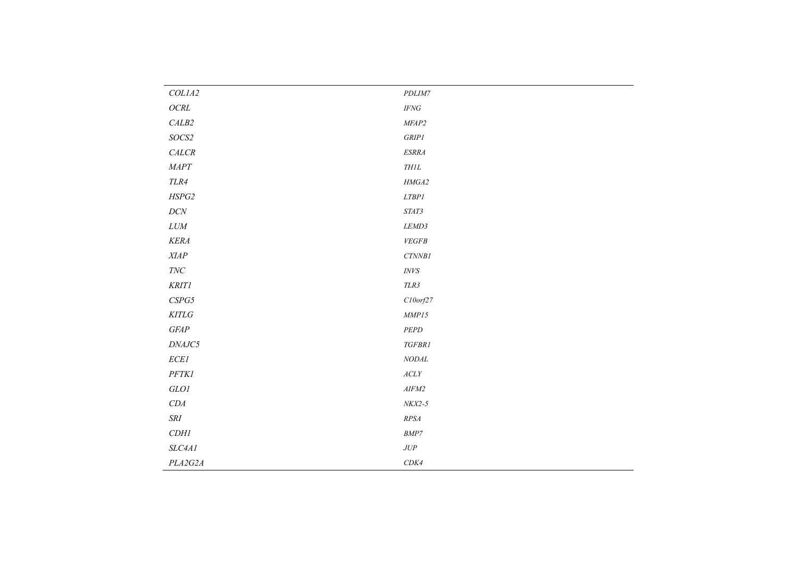| COLIA2                        | $\it PDLIM7$                                   |
|-------------------------------|------------------------------------------------|
| $OCRL$                        | $\mathit{IFNG}$                                |
| $\ensuremath{\mathit{CALB2}}$ | $MF\!\!AP2$                                    |
| $SOCS2$                       | $\emph{GRIP1}$                                 |
| $CALCR$                       | $ESRRA$                                        |
| $\emph{MAPT}$                 | $\it THlL$                                     |
| $TLR4$                        | $\it HMGA2$                                    |
| $H\!S\!P G2$                  | $LT\!B\!P1$                                    |
| $DCN$                         | $\it STAT3$                                    |
| $LUM$                         | $LEMD3$                                        |
| KERA                          | ${\it VEGFB}$                                  |
| $\emph{XIAP}$                 | $CTNNB1$                                       |
| $\mathit{TNC}$                | $\ensuremath{\textit{INVS}}$                   |
| KRITI                         | $TLR3$                                         |
| ${\it CSPG5}$                 | $C10$ orf $27$                                 |
| $KITLG$                       | $\emph{MMP15}$                                 |
| $G\!F\!A\!P$                  | $\cal{P} E \cal{P} D$                          |
| $\it{DNAJC5}$                 | TGFBR1                                         |
| $\it ECE1$                    | $\it NODAL$                                    |
| PFTKI                         | $\mathcal{A}\mathcal{C}\mathcal{L}\mathcal{Y}$ |
| $GLOI$                        | $AIFM2$                                        |
| CDA                           | $NKX2-5$                                       |
| $\cal SRI$                    | $\it RPSA$                                     |
| CDH1                          | $\ensuremath{\mathit{BMP7}}$                   |
| SLC4A1                        | $JUP$                                          |
| PLA2G2A                       | CDK4                                           |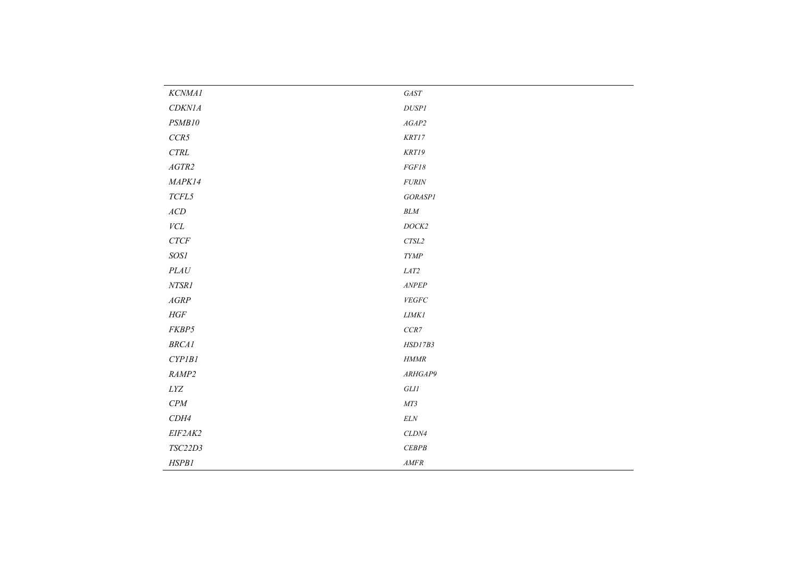| KCNMA1                           | $\it GAST$                    |
|----------------------------------|-------------------------------|
| CDKNIA                           | $DUS\!PI$                     |
| PSMB10                           | $AGAP2$                       |
| CCR5                             | $\it KRT17$                   |
| $\ensuremath{\mathit{CTRL}}$     | KRTI9                         |
| $AGTR2$                          | $FGF18$                       |
| MAPK14                           | $\it FURIN$                   |
| $T\!E\!L5$                       | GORASP1                       |
| $\mathbb{A}\mathbb{C}\mathbb{D}$ | $BLM$                         |
| ${\it VCL}$                      | $DOCK2$                       |
| $CTCF$                           | $CTSL2$                       |
| SOS1                             | $\emph{TYMP}$                 |
| PLAU                             | $LAT2$                        |
| $NTSRI$                          | $\ensuremath{\mathit{ANPEP}}$ |
| AGRP                             | ${\it VEGFC}$                 |
| $HGF$                            | $LIMKI$                       |
| FKBP5                            | $CCR7$                        |
| BRCA1                            | HSD17B3                       |
| CYPIBI                           | $\ensuremath{\textit{HMMR}}$  |
| RAMP2                            | ARHGAP9                       |
| $\it LYZ$                        | $G L I I$                     |
| CPM                              | $MT3$                         |
| CDH4                             | $\it ELN$                     |
| EIF2AK2                          | $CLDN4$                       |
| TSC22D3                          | CEBPB                         |
| HSPB1                            | $AM\!F\!R$                    |
|                                  |                               |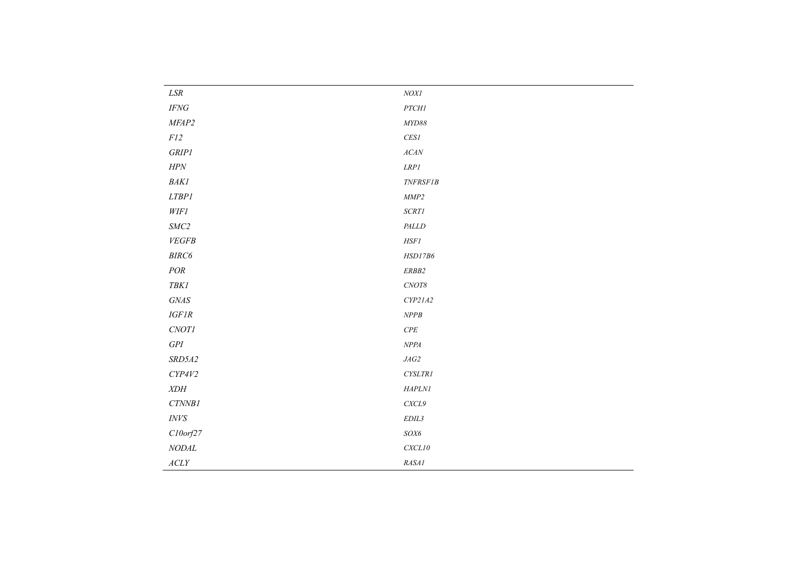| $\emph{LSR}$                                   | $\it NOX1$      |
|------------------------------------------------|-----------------|
| $\ensuremath{\mathit{IFNG}}$                   | $PTCHI$         |
| MFAP2                                          | MYD88           |
| $F\mathfrak{l}2$                               | CESI            |
| $\emph{GRIP1}$                                 | $ACAN$          |
| $H\!P\!N$                                      | LRPI            |
| $\it BAKI$                                     | <b>TNFRSF1B</b> |
| $LTBPI$                                        | $\emph{MMP2}$   |
| <b>WIF1</b>                                    | $SCRTI$         |
| $SMC2$                                         | $\it{PALLD}$    |
| VEGFB                                          | $H\!S\!F\!I$    |
| $\mathit{BIRC6}$                               | HSD17B6         |
| $\it POR$                                      | $ERB82$         |
| $T\!B\!K\!I$                                   | $CNOT8$         |
| $\it GNAS$                                     | CYP21A2         |
| $IGFIR$                                        | $NPPB$          |
| $CNOTI$                                        | $\cal{C\!P\!E}$ |
| $GPI$                                          | $\emph{NPPA}$   |
| SRD5A2                                         | $J\!A G2$       |
| CYP4V2                                         | ${\it CYSLTR1}$ |
| $X\!D\!H$                                      | $H\!A\!PL\!NI$  |
| $CTNNB1$                                       | CXCL9           |
| $\it{INVS}$                                    | $EDIL3$         |
| $C10$ orf $27$                                 | $\mathit{SOX6}$ |
| $\it NODAL$                                    | CXCL10          |
| $\mathcal{A}\mathcal{C}\mathcal{L}\mathcal{Y}$ | RASA1           |
|                                                |                 |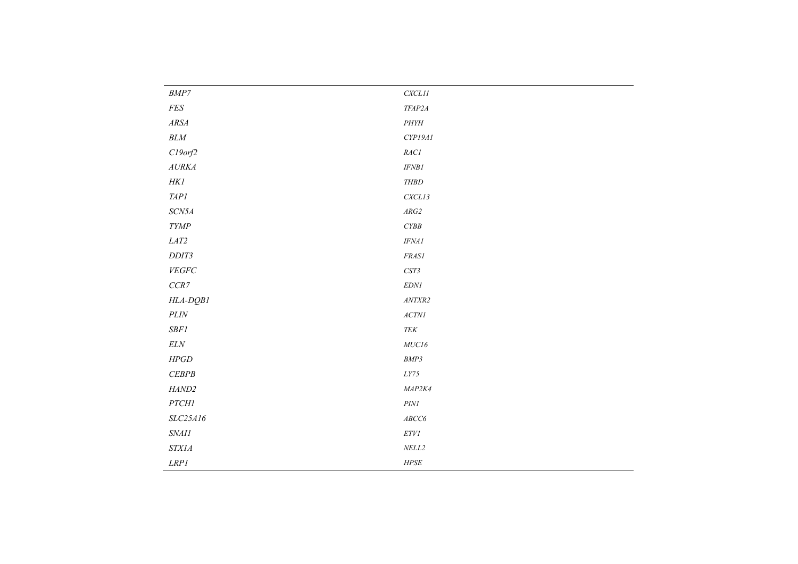| $\ensuremath{\mathit{BMP7}}$                                               | $CXCL11$                          |
|----------------------------------------------------------------------------|-----------------------------------|
| $\it FES$                                                                  | TFAP2A                            |
| $\mathit{ARSA}$                                                            | $\cal{PH}Y\!H$                    |
| $BLM\;$                                                                    | CYP19A1                           |
| $C19$ orf $2$                                                              | $RACI$                            |
| $\ensuremath{\mathnormal{A}}\xspace \ensuremath{\mathnormal{URKA}}\xspace$ | $IFNB1$                           |
| $H\!Kl$                                                                    | $\it{THBD}$                       |
| $T\!\!AP\!\!I$                                                             | CXCLI3                            |
| $SCN5A$                                                                    | $\mathcal{A}\mathcal{R}G2$        |
| $\emph{TYMP}$                                                              | $\mathcal{CYBB}$                  |
| $LAT2$                                                                     | $\it IFNA1$                       |
| $DDIT3$                                                                    | $FRASI$                           |
| ${\it VEGFC}$                                                              | $\ensuremath{\mathit{CST3}}$      |
| $CCR7$                                                                     | $EDNI$                            |
| HLA-DQB1                                                                   | $\mathit{ANTXR2}$                 |
| $PLIN$                                                                     | $\ensuremath{\mathnormal{ACTNI}}$ |
| $SBFI$                                                                     | ${\it TEK}$                       |
| $\it ELN$                                                                  | ${\it MUC16}$                     |
| ${\it HPGD}$                                                               | $\ensuremath{\mathit{BMP3}}$      |
| $CEBPB$                                                                    | $LY75\,$                          |
| HAND2                                                                      | MAP2K4                            |
| $PTCHI$                                                                    | $\ensuremath{\textit{PINI}}$      |
| SLC25A16                                                                   | ${\it ABCC6}$                     |
| $\it SNAll$                                                                | $ETVI$                            |
| <b>STX1A</b>                                                               | $\it NELL2$                       |
| $\emph{L}\emph{R}\emph{P}$ l                                               | ${\it HPSE}$                      |
|                                                                            |                                   |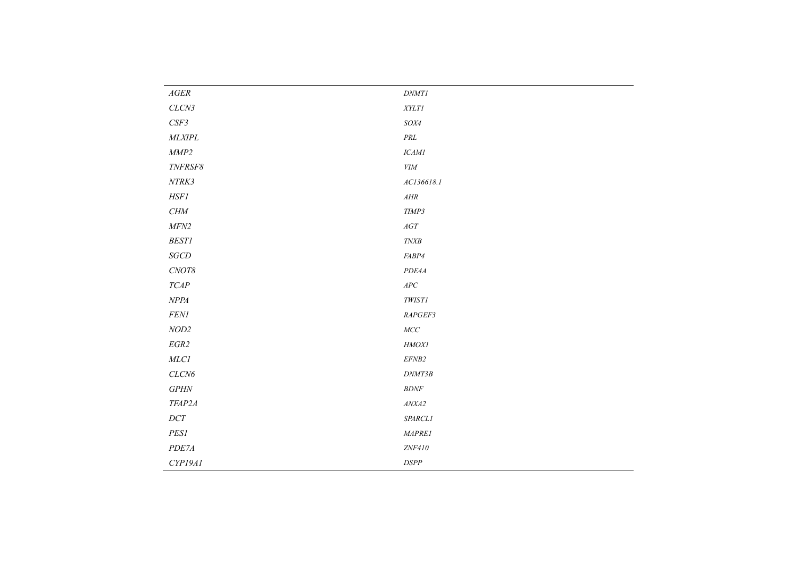| $\mathit{AGER}$   | $\ensuremath{D\!N\!M Tl}$     |
|-------------------|-------------------------------|
| CLCN3             | $\it XYLT1$                   |
| $CSF3$            | $\it SOX4$                    |
| $\it MLXIPL$      | $\cal{P} \cal{R} \cal{L}$     |
| MMP2              | $\it ICAMI$                   |
| $\it TNFRSFS$     | ${\it VIM}$                   |
| $\it NTRK3$       | AC136618.1                    |
| $H\!S\!F{\cal I}$ | $A H\!R$                      |
| CHM               | $\ensuremath{\mathit{TIMP3}}$ |
| $MFN2$            | $AGT$                         |
| BESTI             | $T\!N\!X\!B$                  |
| $SGCD$            | ${\it FABP4}$                 |
| $C\!N\!O T8$      | $PDE4A$                       |
| $TCAP$            | $\ensuremath{\mathit{APC}}$   |
| $\emph{NPPA}$     | $\it TWIST1$                  |
| $FENI$            | RAPGEF3                       |
| $\emph{NOD2}$     | $MCC$                         |
| $EGR2$            | HMOXI                         |
| $MLCI$            | $EFNB2$                       |
| $CLCN6$           | DNMT3B                        |
| $G\!P\!H\!N$      | $B\!D\!N\!F$                  |
| TFAP2A            | $\textit{ANX}\textit{A2}$     |
| $DCT$             | SPARCL1                       |
| PESI              | MAPRE1                        |
| PDE7A             | ZNF410                        |
| CYP19A1           | $\ensuremath{\mathit{DSPP}}$  |
|                   |                               |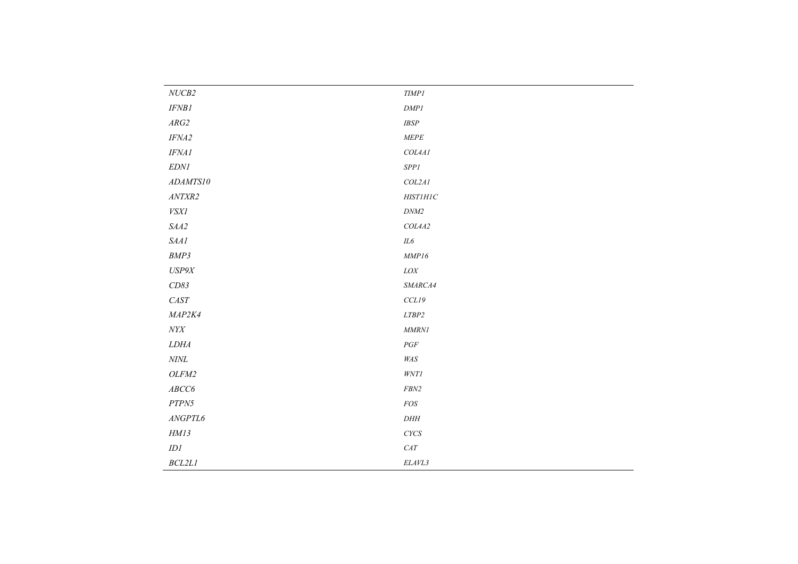| $NUCB2$                    | $\ensuremath{\mathit{TIMP1}}$ |
|----------------------------|-------------------------------|
| IFNB1                      | DMPI                          |
| $\mathcal{A}\mathcal{R}G2$ | $IBSP$                        |
| $IF\!MA2$                  | $\emph{MEPE}$                 |
| IFNAI                      | COL4AI                        |
| $EDNI$                     | $SPPI$                        |
| ADAMTS10                   | COL2AI                        |
| $\mathit{ANTXR2}$          | $H\!I\!ST\!I\!H\!I\!C$        |
| $\it VSXI$                 | $\ensuremath{D\!M\!M\!2}$     |
| $\it SAA2$                 | COL4A2                        |
| SAA1                       | $I\!L6$                       |
| BMP3                       | $\emph{MMP16}$                |
| $US\!P9\!X$                | ${\it LOX}$                   |
| CD83                       | SMARCA4                       |
| $CAST$                     | $CCL19$                       |
| MAP2K4                     | $LTBP2$                       |
| $N Y\! X$                  | MMRNI                         |
| LDHA                       | $\mathcal{P}GF$               |
| $\it NINL$                 | $\it W\!A S$                  |
| OLFM2                      | $W\!N T\!I$                   |
| ${\it ABCC6}$              | ${\it FBN2}$                  |
| ${\cal PTPN5}$             | $FOS$                         |
| ANGPTL6                    | $DH\!H$                       |
| HM13                       | $C YCS$                       |
| IDI                        | $CAT$                         |
| $BCL2LI$                   | $ELAVL3$                      |
|                            |                               |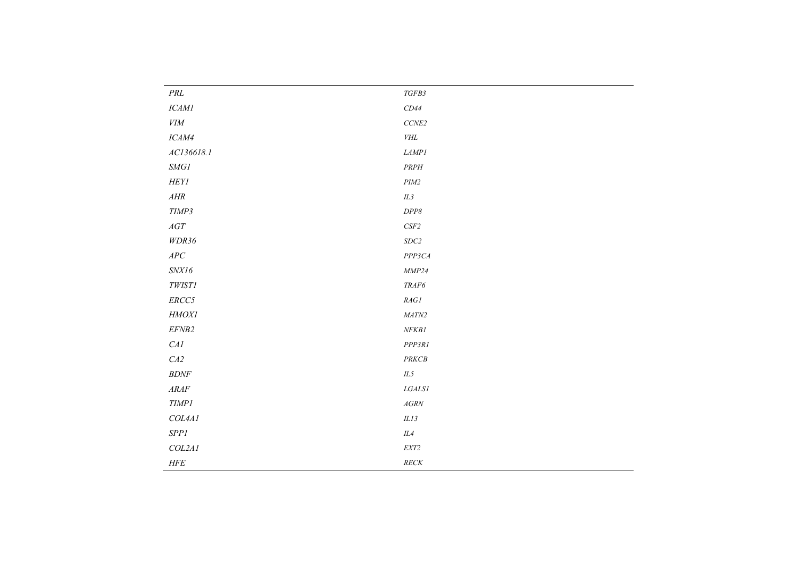| $\cal{P} \cal{R} \cal{L}$                                                                                                      | $TGFB3$                       |
|--------------------------------------------------------------------------------------------------------------------------------|-------------------------------|
| $\it ICAMI$                                                                                                                    | $CD44\,$                      |
| $V\!I\!M$                                                                                                                      | $\it CCNE2$                   |
| $\it ICAM4$                                                                                                                    | $V\!H\!L$                     |
| AC136618.1                                                                                                                     | LAMPI                         |
| $\emph{SMGI}$                                                                                                                  | $PRPH$                        |
| ${\it HEYI}$                                                                                                                   | $\it PIM2$                    |
| $A H\!R$                                                                                                                       | $I\!L3$                       |
| TIMP3                                                                                                                          | $DPP8$                        |
| $AGT$                                                                                                                          | $CSF2$                        |
| WDR36                                                                                                                          | $SDC2$                        |
| $\ensuremath{\mathit{APC}}$                                                                                                    | PPP3CA                        |
| $S\!N\!X\!I6$                                                                                                                  | $\emph{MMP24}$                |
| $\it TWIST1$                                                                                                                   | $\ensuremath{\mathit{TRAF6}}$ |
| $ERCC5$                                                                                                                        | $\it{RAGI}$                   |
| HMOXI                                                                                                                          | $\it{MATN2}$                  |
| EFNB2                                                                                                                          | NFKB1                         |
| $\ensuremath{\mathit{C}}\ensuremath{\mathit{A}}\ensuremath{\mathit{1}}$                                                        | PPP3R1                        |
| $\cal{C\!A2}$                                                                                                                  | $\ensuremath{\mathit{PRKCB}}$ |
| $B\!D\!N\!F$                                                                                                                   | $\it{IL5}$                    |
| $\ensuremath{\mathcal{A}}\xspace\ensuremath{\mathcal{R}}\xspace\ensuremath{\mathcal{A}}\xspace\ensuremath{\mathcal{F}}\xspace$ | ${\it LGALS1}$                |
| TIMPI                                                                                                                          | $AGRN$                        |
| COL4AI                                                                                                                         | $ILI3$                        |
| $SPPI$                                                                                                                         | $I\!L4$                       |
| COL2AI                                                                                                                         | ${\it EXT2}$                  |
| $H\!F\!E$                                                                                                                      | $RECK$                        |
|                                                                                                                                |                               |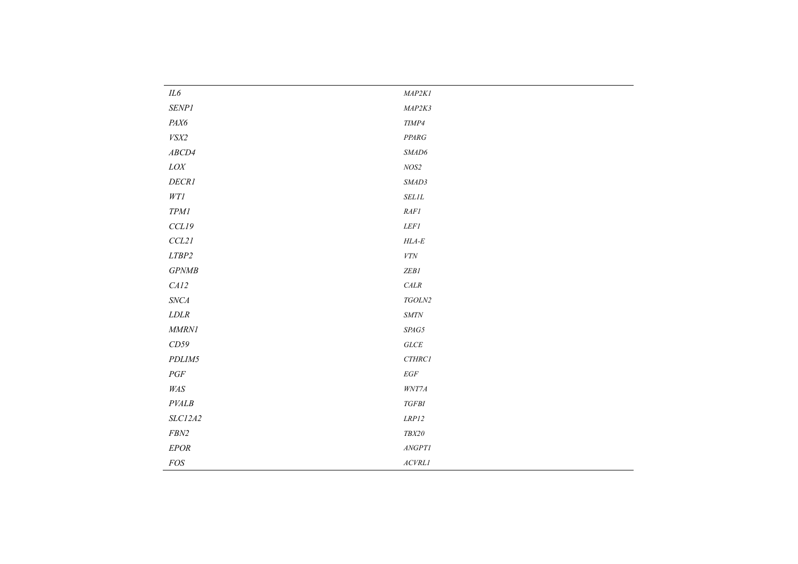| $I\!L6$                      | MAP2KI                         |
|------------------------------|--------------------------------|
| $\emph{SENP1}$               | MAP2K3                         |
| $\it{PAX6}$                  | $TIMP4$                        |
| VSX2                         | $\it{PPARG}$                   |
| ABCD4                        | $\it \textit{SMAD6}$           |
| ${\it LOX}$                  | $NOS2$                         |
| DECRI                        | $\it SMAD3$                    |
| $W T\mathcal{I}$             | $\it SELIL$                    |
| $TPM{\cal I}$                | $RAF\mathcal{I}$               |
| CCL19                        | $LEFI$                         |
| CCL21                        | $HLA-E$                        |
| $LTBP2$                      | ${\it VTN}$                    |
| GPNMB                        | $ZEB1$                         |
| CAI2                         | $\ensuremath{\mathit{CALR}}$   |
| $\ensuremath{\mathit{SNCA}}$ | $\it TGOLN2$                   |
| $LDLR$                       | $\boldsymbol{\mathit{SMTN}}$   |
| $\emph{MMRNI}$               | $\operatorname{SPAG5}$         |
| CD59                         | $GLCE$                         |
| PDLIM5                       | $\it{CTHRC1}$                  |
| $\cal{PGF}$                  | $\it{EGF}$                     |
| $\it W\!A S$                 | $W\!N T\!7A$                   |
| $\it PVALB$                  | $TGFBI$                        |
| SLC12A2                      | $\emph{LRPI2}$                 |
| ${\it FBN2}$                 | $\it{TBX20}$                   |
| <b>EPOR</b>                  | $\ensuremath{\mathit{ANGPTl}}$ |
| FOS                          | $\mathit{ACVRL1}$              |
|                              |                                |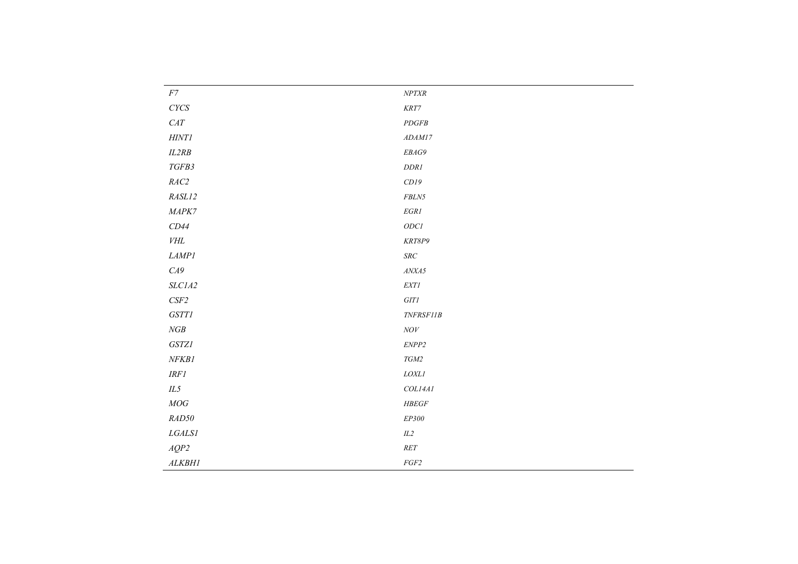| $NPTXR$                            |
|------------------------------------|
| $\ensuremath{\textit{KRT7}}$       |
| $\cal PDGFB$                       |
| ADAM17                             |
| $\it EBAG9$                        |
| $\ensuremath{DDRI}$                |
| CDI9                               |
| ${\it FBLN5}$                      |
| $EGRI$                             |
| $ODCI$                             |
| $\it KRT8P9$                       |
| $SRC$                              |
| $\mathit{ANX}\mathit{A5}$          |
| $\ensuremath{\textit{EXT}}\xspace$ |
| $GITI$                             |
| $\it TNFRSF11B$                    |
| $\;NOV$                            |
| $\ensuremath{\it ENPP2}\xspace$    |
| $TGM2\,$                           |
| $\it LOXLI$                        |
| COLI4AI                            |
| $H\!B\!EGF$                        |
| $EP300\,$                          |
| $\it IL2$                          |
| $\it{RET}$                         |
| $FGF2$                             |
|                                    |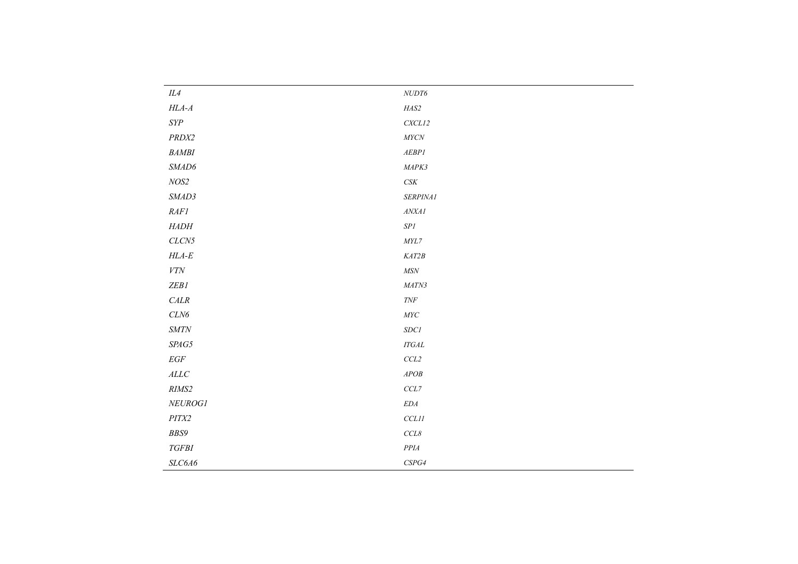| IL4                          | ${\it NUDT6}$                    |
|------------------------------|----------------------------------|
| $H\!L\!A\text{-}A$           | $\it HAS2$                       |
| ${\it SYP}$                  | CXCL12                           |
| PRDX2                        | $M{\it YCN}$                     |
| $\it{BAMBI}$                 | $AEBP1$                          |
| SMAD6                        | MAPK3                            |
| $NOS2$                       | $\mathit{CSK}\xspace$            |
| SMAD3                        | SERPINA1                         |
| RAFI                         | ANXAI                            |
| ${\it HADH}$                 | ${\it SP1}$                      |
| $CLCN5$                      | $\mathit{MYL7}$                  |
| $HLA-E$                      | KAT2B                            |
| ${\it VTN}$                  | $M\!S\!N$                        |
| ZEB1                         | $\it{MATN3}$                     |
| $\ensuremath{\textit{CALR}}$ | $\ensuremath{\mathit{T}\!N\!F}$  |
| $CLN6$                       | $\mathit{MYC}$                   |
| $\boldsymbol{\mathit{SMTN}}$ | $SDC\ensuremath{\mathnormal{I}}$ |
| $\textit{SP\!A}\textit{G5}$  | $ITGAL$                          |
| $\mathcal{E}GF$              | $CCL2$                           |
| $\cal ALLC$                  | ${\cal A}POB$                    |
| RIMS2                        | $CCL7$                           |
| ${\it NEUROGI}$              | $\emph{EDA}$                     |
| $PITX2$                      | $CCLII$                          |
| BBS9                         | $CCL8$                           |
| $TGFBI$                      | $\cal P\cal P\cal I\cal A$       |
| $SLC6A6$                     | $\it{CSPG4}$                     |
|                              |                                  |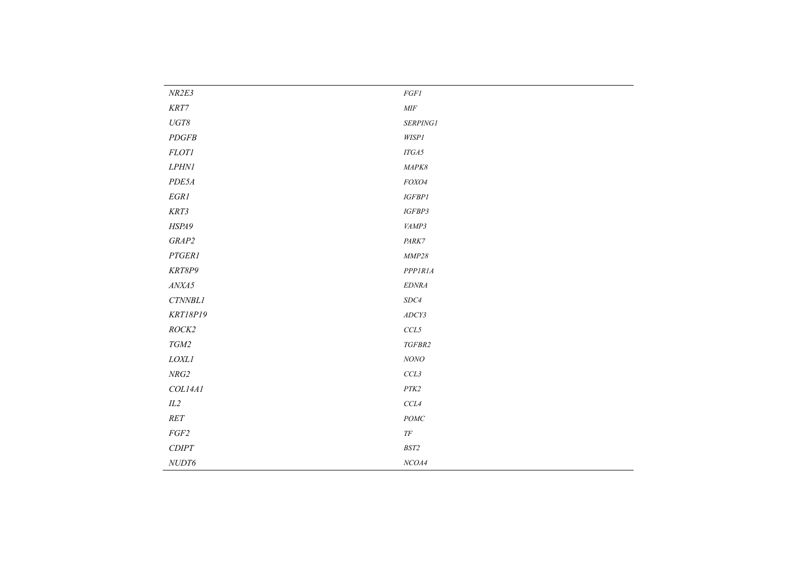| NR2E3                        | $FGFI$                       |
|------------------------------|------------------------------|
| $\ensuremath{\textit{KRT7}}$ | $\it{MIF}$                   |
| $UGT8$                       | SERPINGI                     |
| PDGFB                        | $W\!I\!S\!P{\it l}$          |
| <b>FLOTI</b>                 | $ITG A5$                     |
| LPHNI                        | MAPK8                        |
| PDE5A                        | FOXO4                        |
| $EGRI$                       | $IGFBPI$                     |
| KRT3                         | $IGFBP3$                     |
| HSPA9                        | VAMP3                        |
| GRAP2                        | PARK7                        |
| $PTGERI$                     | $\emph{MMP28}$               |
| KRT8P9                       | <b>PPPIRIA</b>               |
| ANXA5                        | $EDNRA$                      |
| $CTNNBLI$                    | $SDC4$                       |
| <b>KRT18P19</b>              | $\boldsymbol{ADCY3}$         |
| ROCK2                        | $CCL5$                       |
| $TGM2$                       | TGFBR2                       |
| $\it LOXLI$                  | $NONO$                       |
| ${\it NRG2}$                 | $CCL3$                       |
| COL14A1                      | $\ensuremath{\mathit{PTK2}}$ |
| $\it IL2$                    | $CCL4$                       |
| $\it{RET}$                   | $\operatorname{\it POMC}$    |
| $FGF2$                       | $T\!F$                       |
| $CDI\!PT$                    | $BST2$                       |
| ${\it NUDT6}$                | $NCOA4$                      |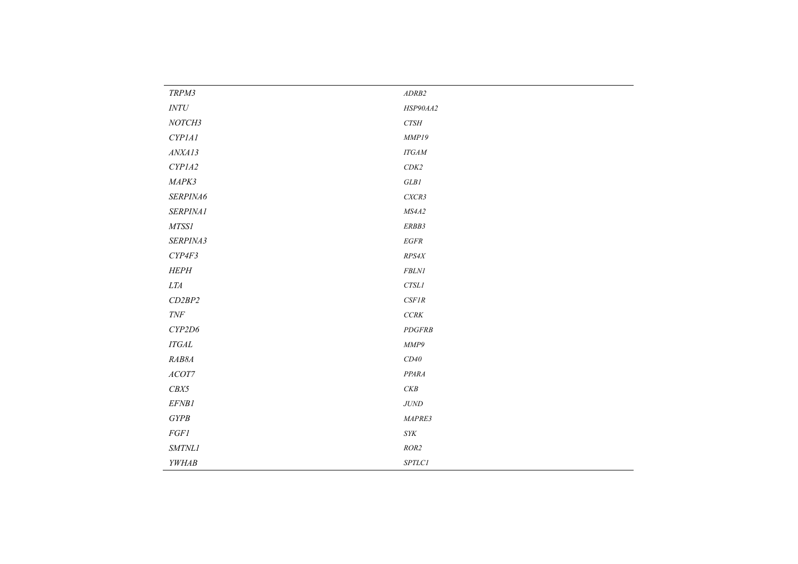| TRPM3                           | ADRB2                                                                  |
|---------------------------------|------------------------------------------------------------------------|
| $\ensuremath{\textit{INTU}}$    | HSP90AA2                                                               |
| NOTCH3                          | ${\it CTSH}$                                                           |
| CYP1A1                          | MMP19                                                                  |
| ANXA13                          | $ITGAM$                                                                |
| CYPIA2                          | $CDK2$                                                                 |
| MAPK3                           | $GLB\mathbb{I}$                                                        |
| SERPINA6                        | CXCR3                                                                  |
| SERPINA1                        | ${\it MS}4A2$                                                          |
| $MTSSI$                         | ERBB3                                                                  |
| SERPINA3                        | $EGFR$                                                                 |
| CYP4F3                          | RPS4X                                                                  |
| HEPH                            | ${\it FBLNI}$                                                          |
| $LTA$                           | $CTSLI$                                                                |
| CD2BP2                          | $CSFIR$                                                                |
| $\ensuremath{\mathit{T}\!N\!F}$ | $CCRK$                                                                 |
| CYP2D6                          | <b>PDGFRB</b>                                                          |
| $ITGAL$                         | MMP9                                                                   |
| RAB8A                           | $CD40\,$                                                               |
| $\mathit{ACOT7}$                | PPARA                                                                  |
| CBX5                            | $\mathcal{CKB}% =\mathcal{H}_{\mathcal{A}}^{\mathcal{A}}(\mathcal{A})$ |
| EFNB1                           | $J\!U\!N\!D$                                                           |
| GYPB                            | MAPRE3                                                                 |
| $FGFI$                          | $\it SYK$                                                              |
| SMTNL1                          | ROR2                                                                   |
| YWHAB                           | $SPTLCI$                                                               |
|                                 |                                                                        |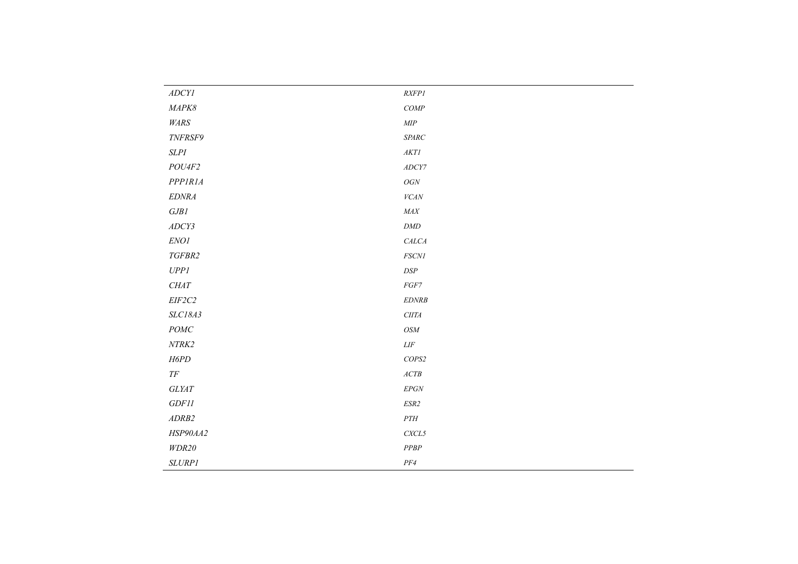| ADCVI                     | RXFP1                                                                    |
|---------------------------|--------------------------------------------------------------------------|
| $\it{MAPK8}$              | $COMP$                                                                   |
| WARS                      | $\ensuremath{\mathit{MIP}}$                                              |
| TNFRSF9                   | $\emph{SPARC}$                                                           |
| <b>SLPI</b>               | $AKTI$                                                                   |
| POU4F2                    | $\boldsymbol{A}\boldsymbol{D}\boldsymbol{C}\boldsymbol{Y}\boldsymbol{7}$ |
| <b>PPPIRIA</b>            | ${\cal O}GN$                                                             |
| <b>EDNRA</b>              | ${\it VCAN}$                                                             |
| $G\!J\!B\!I$              | $\it{MAX}$                                                               |
| ADCY3                     | $\ensuremath{\mathit{DMD}}$                                              |
| ENO1                      | <b>CALCA</b>                                                             |
| TGFBR2                    | $\it FSCNI$                                                              |
| UPPI                      | $\ensuremath{DSP}\xspace$                                                |
| ${\it CHAT}$              | $FGF7$                                                                   |
| $EIF2C2$                  | EDNRB                                                                    |
| SLC18A3                   | $C\Pi TA$                                                                |
| $\operatorname{\it POMC}$ | $\mathit{OSM}$                                                           |
| $\it NTRK2$               | $Ll\!F$                                                                  |
| H6PD                      | $\it{COPS2}$                                                             |
| $T\!F$                    | $\mathit{ACTB}$                                                          |
| $GLY\!\!AT$               | $EPGN$                                                                   |
| GDF11                     | $\ensuremath{\mathit{ESR2}}$                                             |
| ADRB2                     | $\cal{PTH}$                                                              |
| HSP90AA2                  | $\it CXCL5$                                                              |
| WDR20                     | $PPBP$                                                                   |
| <b>SLURP1</b>             | $PF\!4$                                                                  |
|                           |                                                                          |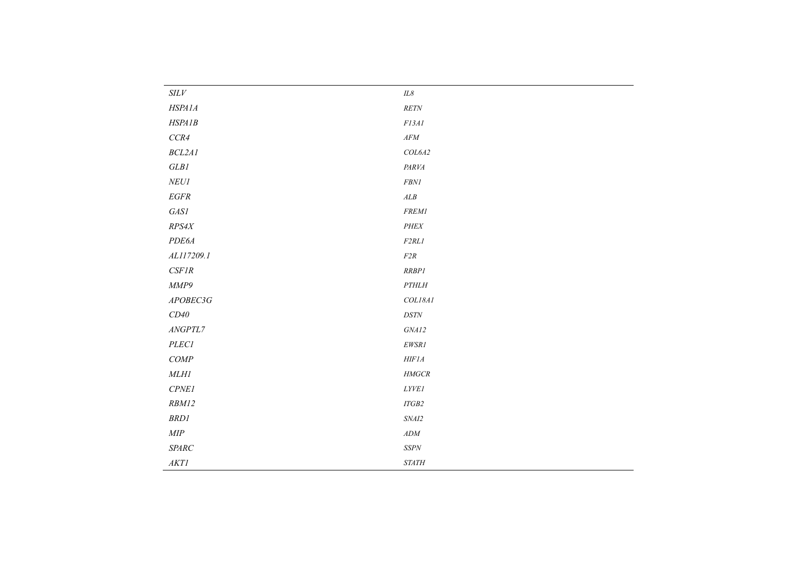| SLV                             | $I\!L\mathcal{S}$                                                                                     |
|---------------------------------|-------------------------------------------------------------------------------------------------------|
| HSPA1A                          | RETN                                                                                                  |
| HSPA1B                          | $Fl3Al$                                                                                               |
| ${CCR4}$                        | $AFM$                                                                                                 |
| BCL2AI                          | COL6A2                                                                                                |
| $GLB\mathcal{I}$                | PARVA                                                                                                 |
| $\it NEUI$                      | ${\it FBNI}$                                                                                          |
| $EGFR$                          | $\boldsymbol{ALB}$                                                                                    |
| $\it{GASI}$                     | $FREM1$                                                                                               |
| RPS4X                           | $\cal{PHEX}$                                                                                          |
| PDE6A                           | F2RL1                                                                                                 |
| AL117209.1                      | $F2R$                                                                                                 |
| $CSFIR$                         | RRBP1                                                                                                 |
| MMP9                            | $\cal{PTHLH}$                                                                                         |
| APOBEC3G                        | COL18AI                                                                                               |
| $CD40\,$                        | $DST\!N$                                                                                              |
| $\ensuremath{\mathit{ANGPTL7}}$ | $GN\!\!A12$                                                                                           |
| $\it PLECI$                     | ${\it EWSR1}$                                                                                         |
| $COMP$                          | $H \! H \! F \! I A$                                                                                  |
| $MLHI$                          | $\ensuremath{\mathcal{H}}\xspace\!\ensuremath{\mathcal{M}}\xspace G\ensuremath{\mathcal{C}}\xspace R$ |
| $\it{CPNE1}$                    | $LYV\!E1$                                                                                             |
| RBM12                           | $ITGB2$                                                                                               |
| $BRD\!$                         | $\it SNAI2$                                                                                           |
| $\ensuremath{\mathit{MIP}}$     | $\boldsymbol{A}\boldsymbol{D}\boldsymbol{M}$                                                          |
| SPARC                           | $SS\!P\!N$                                                                                            |
| $AKTI$                          | $\it STATH$                                                                                           |
|                                 |                                                                                                       |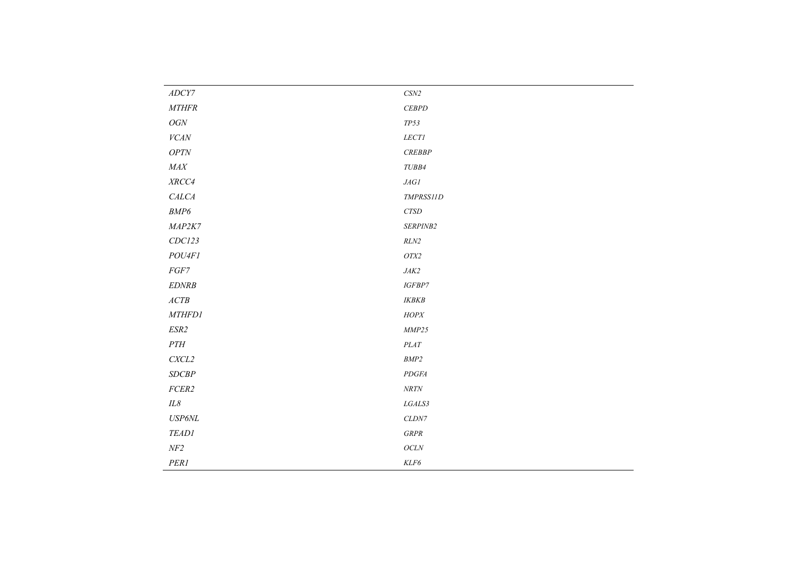| $\ensuremath{\mathit{ADC}}\ensuremath{\mathit{Y7}}$ | $\ensuremath{\mathit{CSN2}}$ |
|-----------------------------------------------------|------------------------------|
| <b>MTHFR</b>                                        | CEBPD                        |
| ${\cal O}GN$                                        | $TP53\,$                     |
| VCAN                                                | $LECTI$                      |
| $OPT\!N$                                            | CREBBP                       |
| $\it{MAX}$                                          | $TUBB4$                      |
| $\mathit{XRCC4}$                                    | $J\!A G {\cal I}$            |
| CALCA                                               | TMPRSS11D                    |
| BMP6                                                | ${\it CTSD}$                 |
| MAP2K7                                              | SERPINB2                     |
| CDC123                                              | $RLN2$                       |
| POU4F1                                              | $\ensuremath{\textit{OTX2}}$ |
| $FGF7$                                              | $J\!A K2$                    |
| $EDNRB$                                             | $IGFBP7$                     |
| ACTB                                                | <b>IKBKB</b>                 |
| <b>MTHFD1</b>                                       | $HOPX$                       |
| ESR2                                                | MMP25                        |
| $\cal{PTH}$                                         | $\it PLAT$                   |
| $\ensuremath{\mathit{C}\mathit{X}\mathit{CL2}}$     | $\ensuremath{\mathit{BMP2}}$ |
| SDCBP                                               | PDGFA                        |
| $FCER2$                                             | $N\!R T\!N$                  |
| $I\!L8$                                             | ${\it LGALS3}$               |
| $\ensuremath{USP6NL}$                               | $CLDN7$                      |
| <b>TEAD1</b>                                        | ${\cal G}R{\cal P}R$         |
| $N\!F2$                                             | OCLN                         |
| PER1                                                | $\it KLF6$                   |
|                                                     |                              |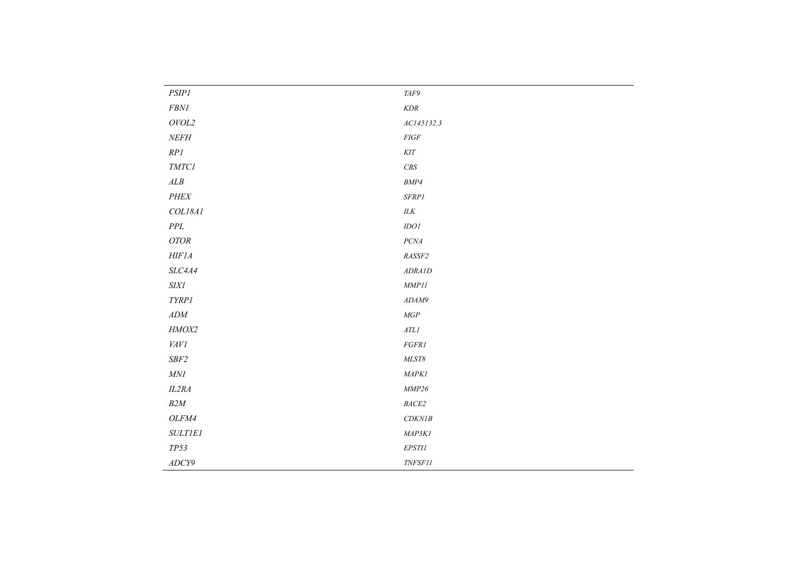| <b>PSIP1</b>                                 | $\ensuremath{\mathit{TAF9}}$         |
|----------------------------------------------|--------------------------------------|
| $\it FBNI$                                   | $\emph{KDR}$                         |
| $\mathit{OVOL2}$                             | AC145132.3                           |
| NEFH                                         | $FIGF$                               |
| RPI                                          | $K\!I\!T$                            |
| $\emph{TMTCI}$                               | $\ensuremath{\mathit{CBS}}$          |
| $\boldsymbol{ALB}$                           | $\ensuremath{\mathit{BMP4}}$         |
| $\cal{PHEX}$                                 | $SFRP1$                              |
| COL18A1                                      | $\ensuremath{\textit{ILK}}$          |
| $P\!P\!L$                                    | $IDOI$                               |
| $OTOR$                                       | $PC\!M$                              |
| $H \! H \! F \! I \! A$                      | $\it RASSF2$                         |
| $SLC4A4$                                     | ADRAID                               |
| <b>SIX1</b>                                  | $\emph{MMP11}$                       |
| TYRP1                                        | ADAM9                                |
| $\boldsymbol{A}\boldsymbol{D}\boldsymbol{M}$ | $\mathcal{M}GP$                      |
| HMOX2                                        | $AT\hspace{-0.1cm}L\hspace{-0.1cm}I$ |
| VAVI                                         | FGFR1                                |
| $SBF2$                                       | ${\it MLST8}$                        |
| MNI                                          | MAPKI                                |
| IL2RA                                        | $\emph{MMP26}$                       |
| $B2M\;$                                      | $\it BACE2$                          |
| OLFM4                                        | CDKNIB                               |
| <b>SULTIEI</b>                               | MAP3KI                               |
| $TP53$                                       | $EPSTII$                             |
| ADCY9                                        | $\it{TNFSF11}$                       |
|                                              |                                      |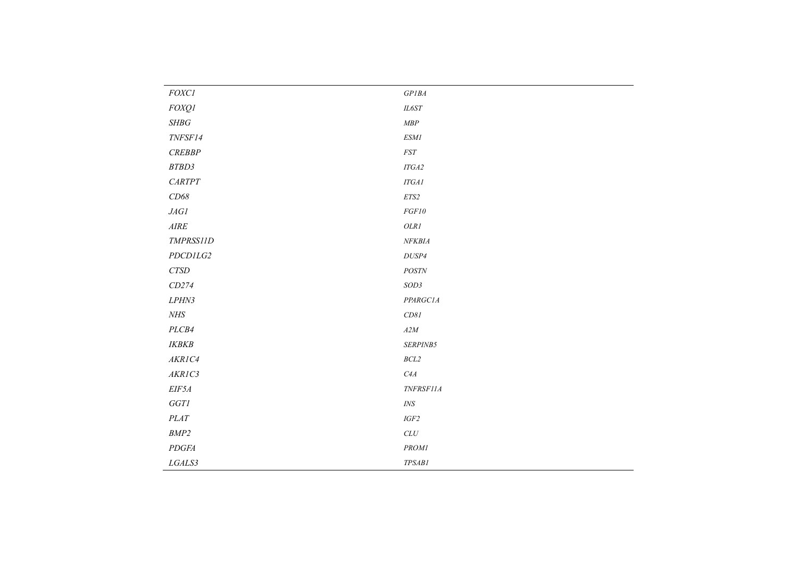| $\it FOXCI$                                   | $GPIBA$        |
|-----------------------------------------------|----------------|
| <b>FOXQ1</b>                                  | $IL6ST$        |
| $SHBG$                                        | $\emph{MBP}$   |
| TNFSF14                                       | $ESMI$         |
| CREBBP                                        | $\it FST$      |
| $\ensuremath{\mathit{BTBD3}}$                 | $ITGA2$        |
| $\it{CARTPT}$                                 | $ITGAI$        |
| CD68                                          | $ET\!S2$       |
| $J\!\!AGl$                                    | $FGF10$        |
| $\ensuremath{\mathcal{A}}\xspace I\!\!R\!\!E$ | $OLRI$         |
| TMPRSS11D                                     | NFKBIA         |
| PDCDILG2                                      | $DUSP4$        |
| ${\it CTSD}$                                  | POSTN          |
| CD274                                         | SOD3           |
| LPHN3                                         | PPARGC1A       |
| NHS                                           | CD81           |
| PLCB4                                         | $A2M$          |
| $\it IKBKB$                                   | SERPINB5       |
| AKRIC4                                        | $BCL2$         |
| AKRIC3                                        | ${\it C4A}$    |
| $EIF5A$                                       | TNFRSF11A      |
| $GGT\!I$                                      | $\mathit{INS}$ |
| $\it PLAT$                                    | $IGF2$         |
| $\ensuremath{\mathit{BMP2}}$                  | $CLU$          |
| $PDGFA$                                       | $\it{PROM1}$   |
| LGALS3                                        | TPSAB1         |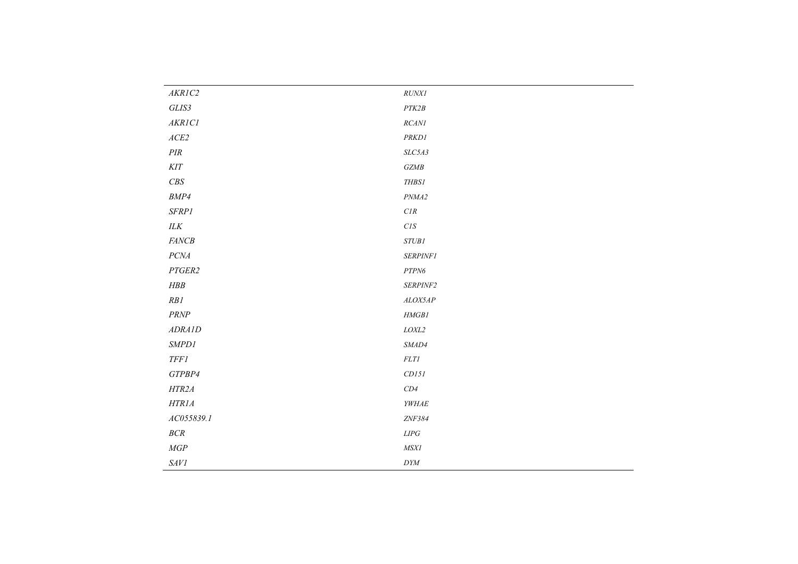| AKRIC2                       | RUNXI                                                                                           |
|------------------------------|-------------------------------------------------------------------------------------------------|
| $GLIS3$                      | $\ensuremath{\mathit{PTK2B}}$                                                                   |
| AKRICI                       | $RCANI$                                                                                         |
| $ACE2$                       | PRKD1                                                                                           |
| $\cal{PIR}$                  | $SLC5A3$                                                                                        |
| $K\!I\!T$                    | $GZ\!M\!B$                                                                                      |
| $\ensuremath{\mathit{CBS}}$  | $\emph{THBS1}$                                                                                  |
| BMP4                         | PNMA2                                                                                           |
| SFRPI                        | $\ensuremath{\mathcal{C}}\xspace\ensuremath{\mathcal{I}}\xspace\ensuremath{\mathcal{R}}\xspace$ |
| $\ensuremath{\textit{ILK}}$  | $\mathcal{C}\mathcal{I}\mathcal{S}$                                                             |
| FANCB                        | <b>STUB1</b>                                                                                    |
| $PC\!M$                      | <b>SERPINF1</b>                                                                                 |
| PTGER2                       | ${\cal PTPN6}$                                                                                  |
| ${\cal H} {\cal B} {\cal B}$ | SERPINF2                                                                                        |
| $RB{\cal I}$                 | ALOX5AP                                                                                         |
| $PRNP$                       | $\it HMGB1$                                                                                     |
| <b>ADRAID</b>                | $\it LOXL2$                                                                                     |
| SMPDI                        | SMAD4                                                                                           |
| $TFFI$                       | $FLTI$                                                                                          |
| GTPBP4                       | CDI5I                                                                                           |
| HTR2A                        | $CD4$                                                                                           |
| HTRIA                        | YWHAE                                                                                           |
| AC055839.1                   | ZNF384                                                                                          |
| $BCR$                        | $LIPG$                                                                                          |
| $\mathit{MGP}$               | <b>MSX1</b>                                                                                     |
| $\emph{SAVI}$                | $\mathit{DYM}$                                                                                  |
|                              |                                                                                                 |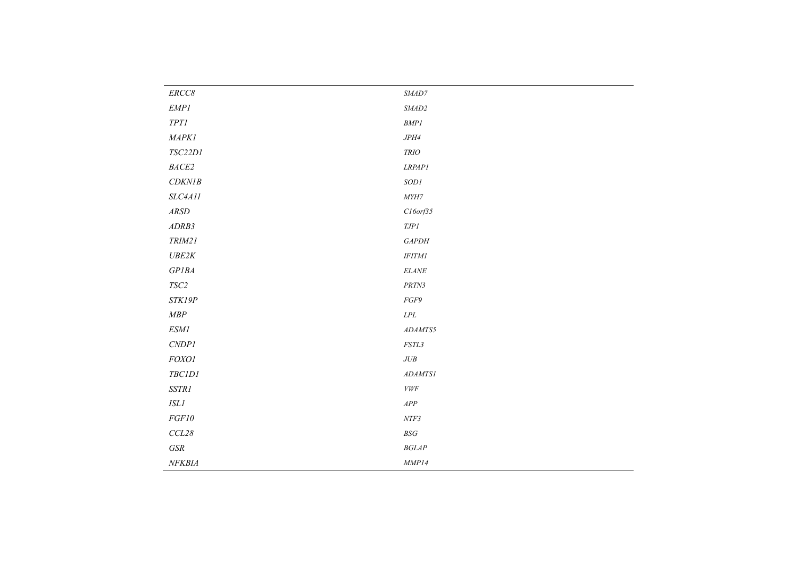| $ERCC8$         | $\ensuremath{\textit{SMAD7}}$       |
|-----------------|-------------------------------------|
| $\emph{EMP1}$   | $\it \textit{SMAD2}$                |
| $TPTI$          | $BMPI$                              |
| <b>MAPK1</b>    | JPH4                                |
| $TSC22DI$       | <b>TRIO</b>                         |
| $\it{BACE2}$    | <b>LRPAP1</b>                       |
| CDKNIB          | $SODI$                              |
| SLC4A11         | $M\!Y\!H\!T$                        |
| $\mathit{ARSD}$ | $C16$ orf $35$                      |
| ADRB3           | $\emph{IJPI}$                       |
| TRIM21          | GAPDH                               |
| UBE2K           | $IFTM{\cal I}$                      |
| GPIBA           | $ELANE$                             |
| $TSC2$          | ${\cal PRIN3}$                      |
| STK19P          | $FGF9$                              |
| $\emph{MBP}$    | $LPL$                               |
| $ESMI$          | ADAMTS5                             |
| CNDPI           | $\it FSTL3$                         |
| $FOXO1$         | $JUB$                               |
| <b>TBC1D1</b>   | ADAMTS1                             |
| $SSTRI$         | ${\it VWF}$                         |
| $\it ISLI$      | ${\cal APP}$                        |
| $FGF10$         | $NTF3$                              |
| $CCL28$         | $B\hspace{-0.9pt}S\hspace{-0.9pt}G$ |
| $G\!S\!R$       | $BGLAP$                             |
| NFKBIA          | MMP14                               |
|                 |                                     |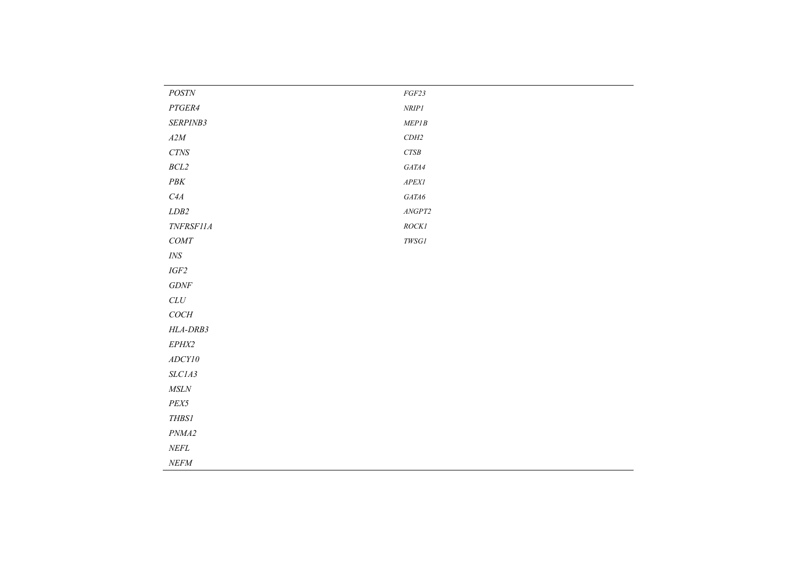| $\it{POSTN}$                                                                                | $FGF23$                        |
|---------------------------------------------------------------------------------------------|--------------------------------|
| $PTGER4$                                                                                    | $\ensuremath{\mathit{NRIP1}}$  |
| SERPINB3                                                                                    | MEPIB                          |
| $A2M$                                                                                       | $CDH2$                         |
| $CT\!N\!S$                                                                                  | $CTSB$                         |
| $BCL2$                                                                                      | $GATA4$                        |
| $P\ensuremath{\mathcal{B}}\ensuremath{\mathcal{K}}$                                         | ${\it APEXI}$                  |
| C4A                                                                                         | $GATA6$                        |
| $\emph{LDB2}$                                                                               | $\ensuremath{\mathit{ANGPT2}}$ |
| TNFRSF11A                                                                                   | ROCK1                          |
| $COMT$                                                                                      | ${\it TWSG1}$                  |
| $\ensuremath{\mathit{INS}}$                                                                 |                                |
| $IGF2$                                                                                      |                                |
| $G\!D\!N\!F$                                                                                |                                |
| $CLU$                                                                                       |                                |
| $COCH$                                                                                      |                                |
| $HLA-DRB3$                                                                                  |                                |
| EPHX2                                                                                       |                                |
| $\boldsymbol{A} \boldsymbol{D} \boldsymbol{C} \boldsymbol{Y} \boldsymbol{I} \boldsymbol{0}$ |                                |
| SLCIA3                                                                                      |                                |
| ${\it MSLN}$                                                                                |                                |
| $PEX5$                                                                                      |                                |
| <b>THBS1</b>                                                                                |                                |
| PNMA2                                                                                       |                                |
| $\it NEFL$                                                                                  |                                |
| $NEFM$                                                                                      |                                |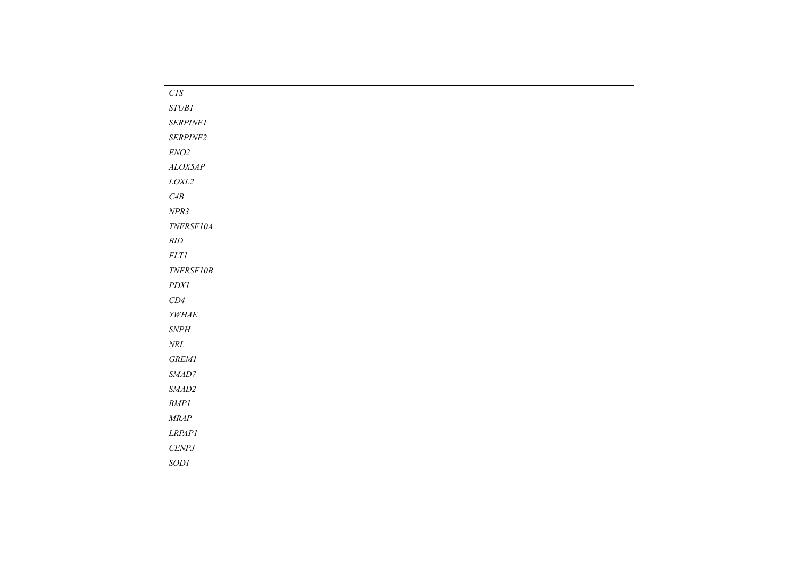| $\mathcal{C}\mathcal{I}\mathcal{S}$                                                                                        |
|----------------------------------------------------------------------------------------------------------------------------|
| $STUBI$                                                                                                                    |
| <b>SERPINF1</b>                                                                                                            |
| SERPINF2                                                                                                                   |
| $ENO2$                                                                                                                     |
| ALOX5AP                                                                                                                    |
| $\it LOXL2$                                                                                                                |
| ${\it C4B}$                                                                                                                |
| NPR3                                                                                                                       |
| $\ensuremath{\mathit{T}\!N}\xspace\!\ensuremath{\mathit{FR}\xspace}\xspace\!\!\!\!\!S\!\!\!\!\!\!F\!\!\!\!\!10\!\!\!\!\!A$ |
| $\ensuremath{\mathit{BID}}$                                                                                                |
| $FLTI$                                                                                                                     |
| TNFRSF10B                                                                                                                  |
| $\it PDXl$                                                                                                                 |
| $CD4\,$                                                                                                                    |
| $\it YWHAE$                                                                                                                |
| $\emph{SNPH}$                                                                                                              |
| $N\!R\!L$                                                                                                                  |
| ${\it GREM1}$                                                                                                              |
| $\ensuremath{\textit{SMAD7}}$                                                                                              |
| $\it \textit{SMAD2}$                                                                                                       |
| $BMPI$                                                                                                                     |
| $\emph{MRAP}$                                                                                                              |
| LRPAPI                                                                                                                     |
| $\it CENPJ$                                                                                                                |
| SODI                                                                                                                       |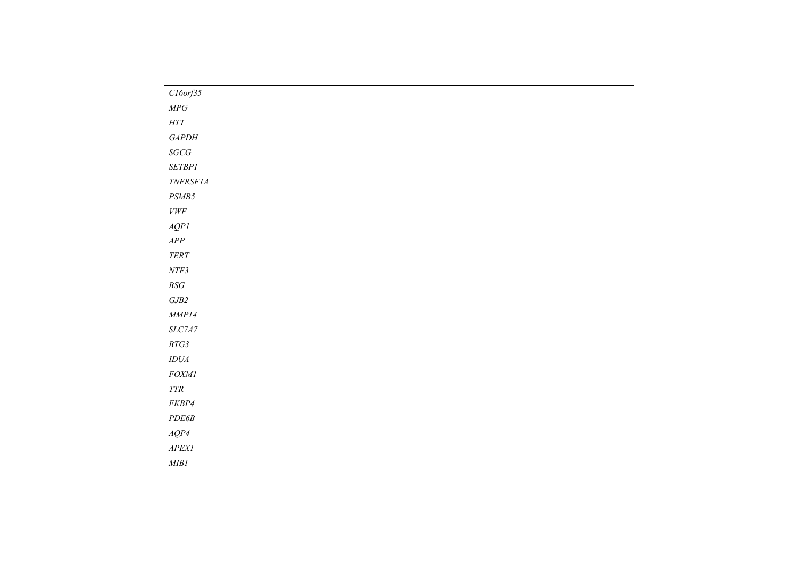| $Cl$ 6orf35                         |  |
|-------------------------------------|--|
| ${\it MPG}$                         |  |
| $\operatorname{HTT}$                |  |
| $\emph{GAPDH}$                      |  |
| $SGCG$                              |  |
| $\it SETBP1$                        |  |
| $\it TNFRSF1A$                      |  |
| $PSMB5$                             |  |
| ${\it VWF}$                         |  |
| AQPI                                |  |
| ${\cal APP}$                        |  |
| $TERT$                              |  |
| $NTF3$                              |  |
| $B\hspace{-0.9pt}S\hspace{-0.9pt}G$ |  |
| ${\it GJB2}$                        |  |
| $\emph{MMP14}$                      |  |
| $SLC7A7$                            |  |
| $BTG3$                              |  |
| $IDUA$                              |  |
| $FOMI$                              |  |
| $TTR$                               |  |
| ${\it FKBP4}$                       |  |
| $PDE6B$                             |  |
| $AQP4$                              |  |
| ${\it APEXI}$                       |  |
| $M\!I\!B1$                          |  |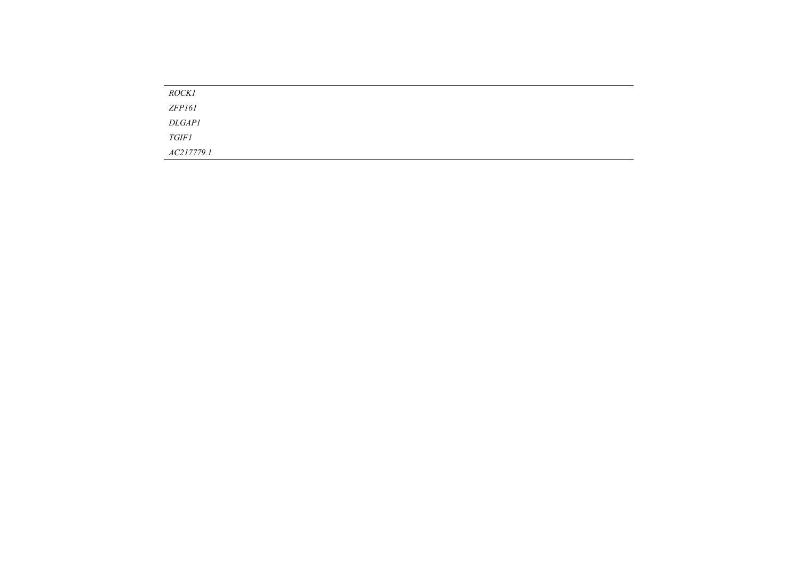| <b>ROCK1</b>  |  |  |
|---------------|--|--|
| ZFP161        |  |  |
| <i>DLGAP1</i> |  |  |
| <i>TGIF1</i>  |  |  |
| AC217779.1    |  |  |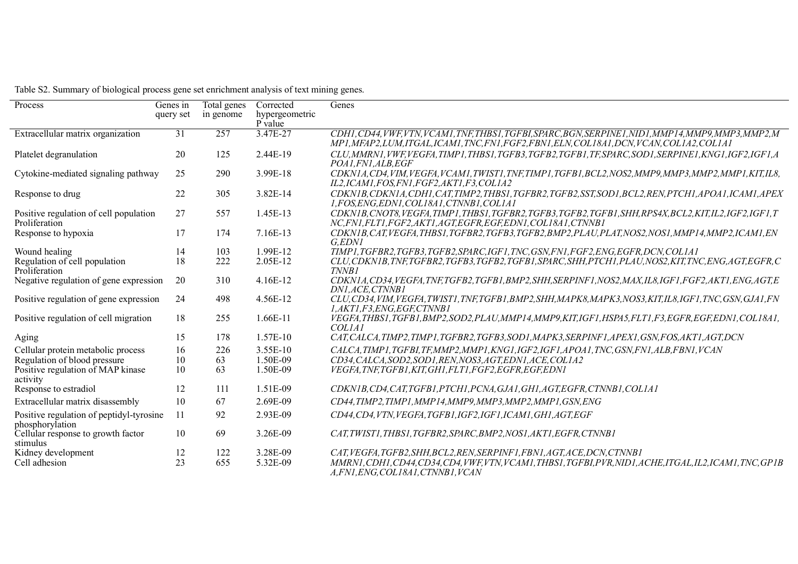| Process                                                     | Genes in  | Total genes | Corrected                 | Genes                                                                                                                                                                                                  |
|-------------------------------------------------------------|-----------|-------------|---------------------------|--------------------------------------------------------------------------------------------------------------------------------------------------------------------------------------------------------|
|                                                             | query set | in genome   | hypergeometric<br>P value |                                                                                                                                                                                                        |
| Extracellular matrix organization                           | 31        | 257         | 3.47E-27                  | CDH1, CD44, VWF, VTN, VCAM1, TNF, THBS1, TGFBI, SPARC, BGN, SERPINE1, NID1, MMP14, MMP9, MMP3, MMP2, M<br>MP1, MFAP2, LUM, ITGAL, ICAM1, TNC, FN1, FGF2, FBN1, ELN, COL18A1, DCN, VCAN, COL1A2, COL1A1 |
| Platelet degranulation                                      | 20        | 125         | 2.44E-19                  | CLU, MMRN1, VWF, VEGFA, TIMP1, THBS1, TGFB3, TGFB2, TGFB1, TF, SPARC, SOD1, SERPINE1, KNG1, IGF2, IGF1, A<br>POA1, FN1, ALB, EGF                                                                       |
| Cytokine-mediated signaling pathway                         | 25        | 290         | 3.99E-18                  | CDKN1A, CD4, VIM, VEGFA, VCAM1, TWIST1, TNF, TIMP1, TGFB1, BCL2, NOS2, MMP9, MMP3, MMP2, MMP1, KIT, IL8,<br>IL2, ICAM1, FOS, FN1, FGF2, AKT1, F3, COL1A2                                               |
| Response to drug                                            | 22        | 305         | 3.82E-14                  | CDKN1B, CDKN1A, CDH1, CAT, TIMP2, THBS1, TGFBR2, TGFB2, SST, SOD1, BCL2, REN, PTCH1, APOA1, ICAM1, APEX<br>1.FOS.ENG.EDN1.COL18A1.CTNNB1.COL1A1                                                        |
| Positive regulation of cell population<br>Proliferation     | 27        | 557         | 1.45E-13                  | CDKN1B, CNOT8, VEGFA, TIMP1, THBS1, TGFBR2, TGFB3, TGFB2, TGFB1, SHH, RPS4X, BCL2, KIT, IL2, IGF2, IGF1, T<br>NC,FN1,FLT1,FGF2,AKT1,AGT,EGFR,EGF,EDN1,COL18A1,CTNNB1                                   |
| Response to hypoxia                                         | 17        | 174         | 7.16E-13                  | CDKN1B, CAT, VEGFA, THBS1, TGFBR2, TGFB3, TGFB2, BMP2, PLAU, PLAT, NOS2, NOS1, MMP14, MMP2, ICAM1, EN<br>G,EDNI                                                                                        |
| Wound healing                                               | 14        | 103         | 1.99E-12                  | TIMP1,TGFBR2,TGFB3,TGFB2,SPARC,IGF1,TNC,GSN,FN1,FGF2,ENG,EGFR,DCN,COL1A1                                                                                                                               |
| Regulation of cell population<br>Proliferation              | 18        | 222         | 2.05E-12                  | CLU, CDKN1B, TNF, TGFBR2, TGFB3, TGFB2, TGFB1, SPARC, SHH, PTCH1, PLAU, NOS2, KIT, TNC, ENG, AGT, EGFR, C<br><b>TNNB1</b>                                                                              |
| Negative regulation of gene expression                      | 20        | 310         | 4.16E-12                  | CDKN1A,CD34,VEGFA,TNF,TGFB2,TGFB1,BMP2,SHH,SERPINF1,NOS2,MAX,IL8,IGF1,FGF2,AKT1,ENG,AGT,E<br>DN1, ACE, CTNNB1                                                                                          |
| Positive regulation of gene expression                      | 24        | 498         | 4.56E-12                  | CLU, CD34, VIM, VEGFA, TWIST1, TNF, TGFB1, BMP2, SHH, MAPK8, MAPK3, NOS3, KIT, IL8, IGF1, TNC, GSN, GJA1, FN<br>1,AKT1,F3,ENG,EGF,CTNNB1                                                               |
| Positive regulation of cell migration                       | 18        | 255         | 1.66E-11                  | VEGFA,THBS1,TGFB1,BMP2,SOD2,PLAU,MMP14,MMP9,KIT,IGF1,HSPA5,FLT1,F3,EGFR,EGF,EDN1,COL18A1,<br><b>COLIAI</b>                                                                                             |
| Aging                                                       | 15        | 178         | 1.57E-10                  | CAT, CALCA, TIMP2, TIMP1, TGFBR2, TGFB3, SOD1, MAPK3, SERPINF1, APEX1, GSN, FOS, AKT1, AGT, DCN                                                                                                        |
| Cellular protein metabolic process                          | 16        | 226         | 3.55E-10                  | CALCA, TIMP 1, TGFBI, TF, MMP2, MMP1, KNG1, IGF2, IGF1, APOA1, TNC, GSN, FN1, ALB, FBN1, VCAN                                                                                                          |
| Regulation of blood pressure                                | 10        | 63          | 1.50E-09                  | CD34, CALCA, SOD2, SOD1, REN, NOS3, AGT, EDN1, ACE, COL1A2                                                                                                                                             |
| Positive regulation of MAP kinase<br>activity               | 10        | 63          | 1.50E-09                  | VEGFA, TNF, TGFB1, KIT, GH1, FLT1, FGF2, EGFR, EGF, EDN1                                                                                                                                               |
| Response to estradiol                                       | 12        | 111         | 1.51E-09                  | CDKN1B, CD4, CAT, TGFB1, PTCH1, PCNA, GJA1, GH1, AGT, EGFR, CTNNB1, COL1A1                                                                                                                             |
| Extracellular matrix disassembly                            | 10        | 67          | 2.69E-09                  | CD44,TIMP2,TIMP1,MMP14,MMP9,MMP3,MMP2,MMP1,GSN,ENG                                                                                                                                                     |
| Positive regulation of peptidyl-tyrosine<br>phosphorylation | 11        | 92          | 2.93E-09                  | CD44, CD4, VTN, VEGFA, TGFB1, IGF2, IGF1, ICAM1, GH1, AGT, EGF                                                                                                                                         |
| Cellular response to growth factor<br>stimulus              | 10        | 69          | 3.26E-09                  | CAT, TWIST1, THBS1, TGFBR2, SPARC, BMP2, NOS1, AKT1, EGFR, CTNNB1                                                                                                                                      |
| Kidney development                                          | 12        | 122         | 3.28E-09                  | CAT, VEGFA, TGFB2, SHH, BCL2, REN, SERPINF1, FBN1, AGT, ACE, DCN, CTNNB1                                                                                                                               |
| Cell adhesion                                               | 23        | 655         | 5.32E-09                  | MMRN1, CDH1, CD44, CD34, CD4, VWF, VTN, VCAM1, THBS1, TGFB1, PVR, NID1, ACHE, ITGAL, IL2, ICAM1, TNC, GP1B<br>A, FN1, ENG, COL18A1, CTNNB1, VCAN                                                       |

Table S2. Summary of biological process gene set enrichment analysis of text mining genes.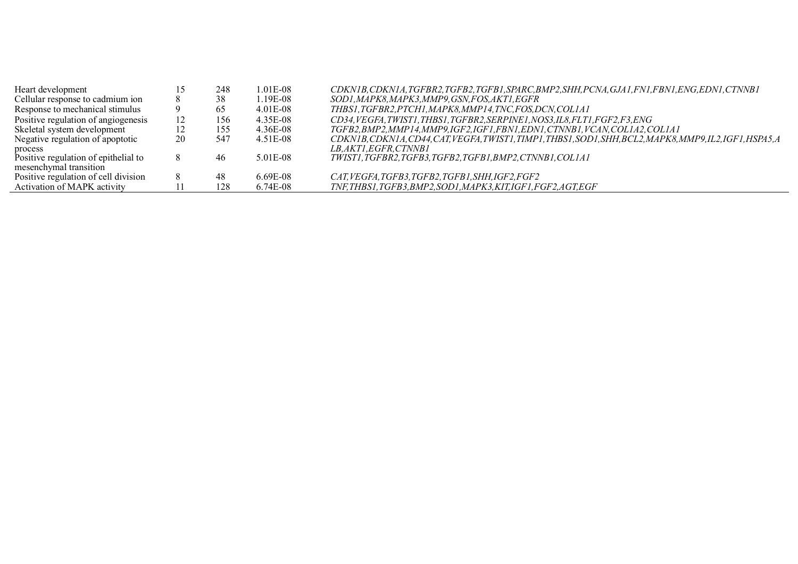| Heart development                    |    | 248 | 1.01E-08 | CDKN1B, CDKN1A, TGFBR2, TGFB2, TGFB1, SPARC, BMP2, SHH, PCNA, GJA1, FN1, FBN1, ENG, EDN1, CTNNB1          |
|--------------------------------------|----|-----|----------|-----------------------------------------------------------------------------------------------------------|
| Cellular response to cadmium ion     |    | 38  | 1.19E-08 | SOD1, MAPK8, MAPK3, MMP9, GSN, FOS, AKT1, EGFR                                                            |
| Response to mechanical stimulus      | 9  | 65  | 4.01E-08 | THBS1, TGFBR2, PTCH1, MAPK8, MMP14, TNC, FOS, DCN, COL1A1                                                 |
| Positive regulation of angiogenesis  | 12 | 156 | 4.35E-08 | CD34, VEGFA, TWIST1, THBS1, TGFBR2, SERPINE1, NOS3, IL8, FLT1, FGF2, F3, ENG                              |
| Skeletal system development          | 12 | 155 | 4.36E-08 | TGFB2,BMP2,MMP14,MMP9,IGF2,IGF1,FBN1,EDN1,CTNNB1,VCAN,COL1A2,COL1A1                                       |
| Negative regulation of apoptotic     | 20 | 547 | 4.51E-08 | CDKN1B, CDKN1A, CD44, CAT, VEGFA, TWIST1, TIMP1, THBS1, SOD1, SHH, BCL2, MAPK8, MMP9, IL2, IGF1, HSPA5, A |
| process                              |    |     |          | <i>LB.AKT1.EGFR.CTNNB1</i>                                                                                |
| Positive regulation of epithelial to |    | 46  | 5.01E-08 | TWIST1, TGFBR2, TGFB3, TGFB2, TGFB1, BMP2, CTNNB1, COL1A1                                                 |
| mesenchymal transition               |    |     |          |                                                                                                           |
| Positive regulation of cell division |    | 48  | 6.69E-08 | CAT, VEGFA, TGFB3, TGFB2, TGFB1, SHH, IGF2, FGF2                                                          |
| Activation of MAPK activity          |    | 128 | 6.74E-08 | TNF,THBS1,TGFB3,BMP2,SOD1,MAPK3,KIT,IGF1,FGF2,AGT,EGF                                                     |